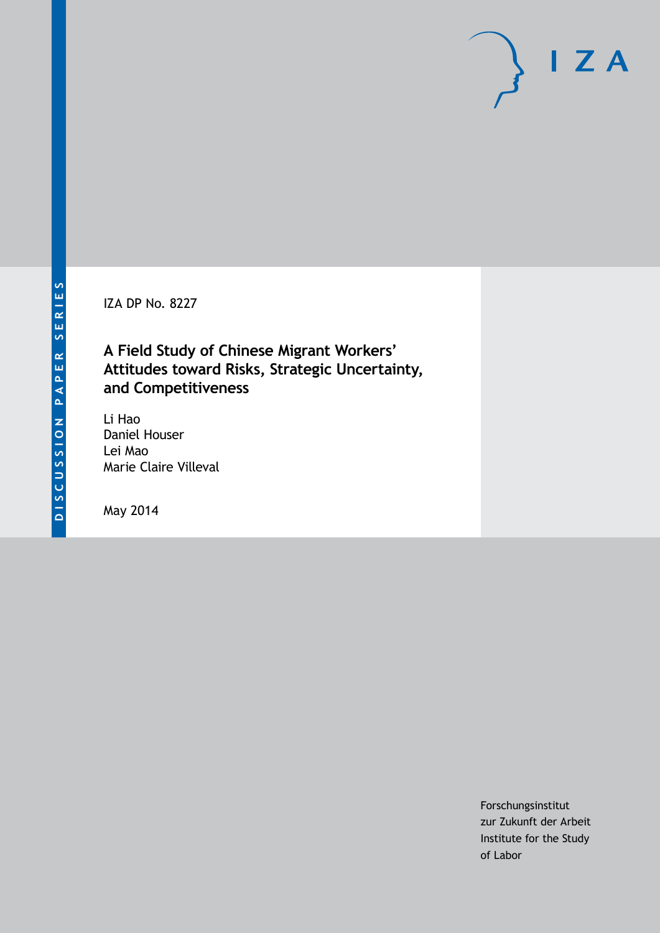IZA DP No. 8227

# **A Field Study of Chinese Migrant Workers' Attitudes toward Risks, Strategic Uncertainty, and Competitiveness**

Li Hao Daniel Houser Lei Mao Marie Claire Villeval

May 2014

Forschungsinstitut zur Zukunft der Arbeit Institute for the Study of Labor

 $I Z A$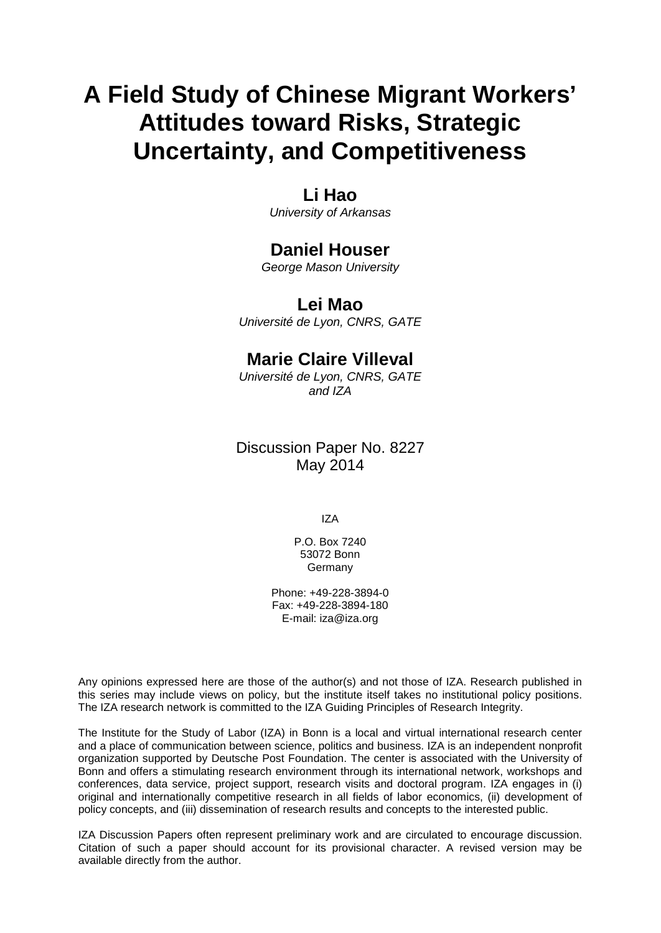# **A Field Study of Chinese Migrant Workers' Attitudes toward Risks, Strategic Uncertainty, and Competitiveness**

## **Li Hao**

*University of Arkansas*

# **Daniel Houser**

*George Mason University*

# **Lei Mao**

*Université de Lyon, CNRS, GATE*

# **Marie Claire Villeval**

*Université de Lyon, CNRS, GATE and IZA*

Discussion Paper No. 8227 May 2014

IZA

P.O. Box 7240 53072 Bonn **Germany** 

Phone: +49-228-3894-0 Fax: +49-228-3894-180 E-mail: [iza@iza.org](mailto:iza@iza.org)

Any opinions expressed here are those of the author(s) and not those of IZA. Research published in this series may include views on policy, but the institute itself takes no institutional policy positions. The IZA research network is committed to the IZA Guiding Principles of Research Integrity.

<span id="page-1-0"></span>The Institute for the Study of Labor (IZA) in Bonn is a local and virtual international research center and a place of communication between science, politics and business. IZA is an independent nonprofit organization supported by Deutsche Post Foundation. The center is associated with the University of Bonn and offers a stimulating research environment through its international network, workshops and conferences, data service, project support, research visits and doctoral program. IZA engages in (i) original and internationally competitive research in all fields of labor economics, (ii) development of policy concepts, and (iii) dissemination of research results and concepts to the interested public.

IZA Discussion Papers often represent preliminary work and are circulated to encourage discussion. Citation of such a paper should account for its provisional character. A revised version may be available directly from the author.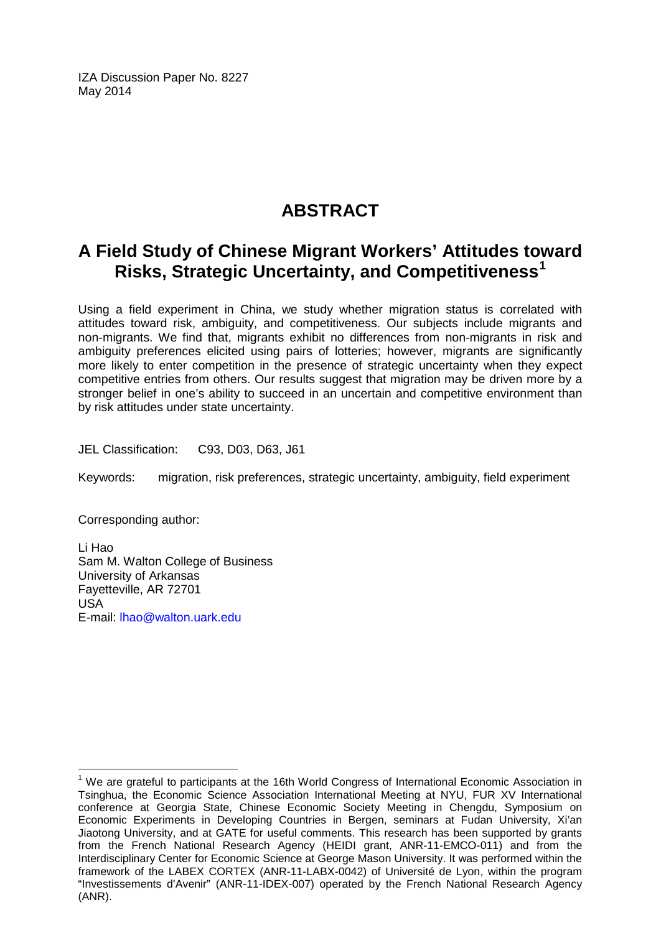IZA Discussion Paper No. 8227 May 2014

# **ABSTRACT**

# **A Field Study of Chinese Migrant Workers' Attitudes toward Risks, Strategic Uncertainty, and Competitiveness[1](#page-1-0)**

Using a field experiment in China, we study whether migration status is correlated with attitudes toward risk, ambiguity, and competitiveness. Our subjects include migrants and non-migrants. We find that, migrants exhibit no differences from non-migrants in risk and ambiguity preferences elicited using pairs of lotteries; however, migrants are significantly more likely to enter competition in the presence of strategic uncertainty when they expect competitive entries from others. Our results suggest that migration may be driven more by a stronger belief in one's ability to succeed in an uncertain and competitive environment than by risk attitudes under state uncertainty.

JEL Classification: C93, D03, D63, J61

Keywords: migration, risk preferences, strategic uncertainty, ambiguity, field experiment

Corresponding author:

Li Hao Sam M. Walton College of Business University of Arkansas Fayetteville, AR 72701 USA E-mail: [lhao@walton.uark.edu](mailto:lhao@walton.uark.edu)

<sup>&</sup>lt;sup>1</sup> We are grateful to participants at the 16th World Congress of International Economic Association in Tsinghua, the Economic Science Association International Meeting at NYU, FUR XV International conference at Georgia State, Chinese Economic Society Meeting in Chengdu, Symposium on Economic Experiments in Developing Countries in Bergen, seminars at Fudan University, Xi'an Jiaotong University, and at GATE for useful comments. This research has been supported by grants from the French National Research Agency (HEIDI grant, ANR-11-EMCO-011) and from the Interdisciplinary Center for Economic Science at George Mason University. It was performed within the framework of the LABEX CORTEX (ANR-11-LABX-0042) of Université de Lyon, within the program "Investissements d'Avenir" (ANR-11-IDEX-007) operated by the French National Research Agency (ANR).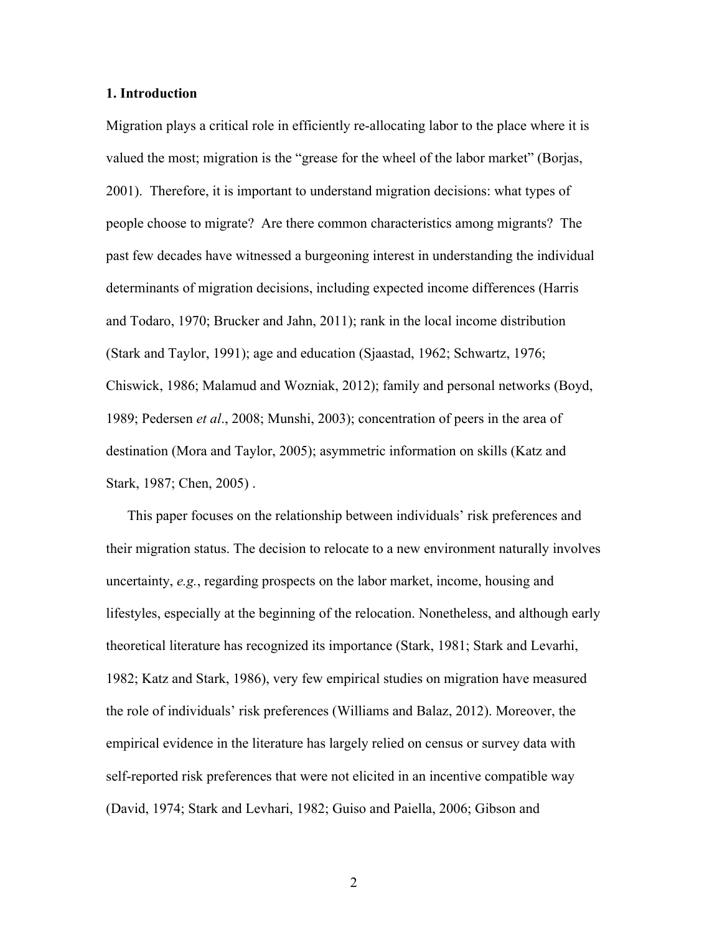#### **1. Introduction**

Migration plays a critical role in efficiently re-allocating labor to the place where it is valued the most; migration is the "grease for the wheel of the labor market" (Borjas, 2001). Therefore, it is important to understand migration decisions: what types of people choose to migrate? Are there common characteristics among migrants? The past few decades have witnessed a burgeoning interest in understanding the individual determinants of migration decisions, including expected income differences (Harris and Todaro, 1970; Brucker and Jahn, 2011); rank in the local income distribution (Stark and Taylor, 1991); age and education (Sjaastad, 1962; Schwartz, 1976; Chiswick, 1986; Malamud and Wozniak, 2012); family and personal networks (Boyd, 1989; Pedersen *et al*., 2008; Munshi, 2003); concentration of peers in the area of destination (Mora and Taylor, 2005); asymmetric information on skills (Katz and Stark, 1987; Chen, 2005) .

This paper focuses on the relationship between individuals' risk preferences and their migration status. The decision to relocate to a new environment naturally involves uncertainty, *e.g.*, regarding prospects on the labor market, income, housing and lifestyles, especially at the beginning of the relocation. Nonetheless, and although early theoretical literature has recognized its importance (Stark, 1981; Stark and Levarhi, 1982; Katz and Stark, 1986), very few empirical studies on migration have measured the role of individuals' risk preferences (Williams and Balaz, 2012). Moreover, the empirical evidence in the literature has largely relied on census or survey data with self-reported risk preferences that were not elicited in an incentive compatible way (David, 1974; Stark and Levhari, 1982; Guiso and Paiella, 2006; Gibson and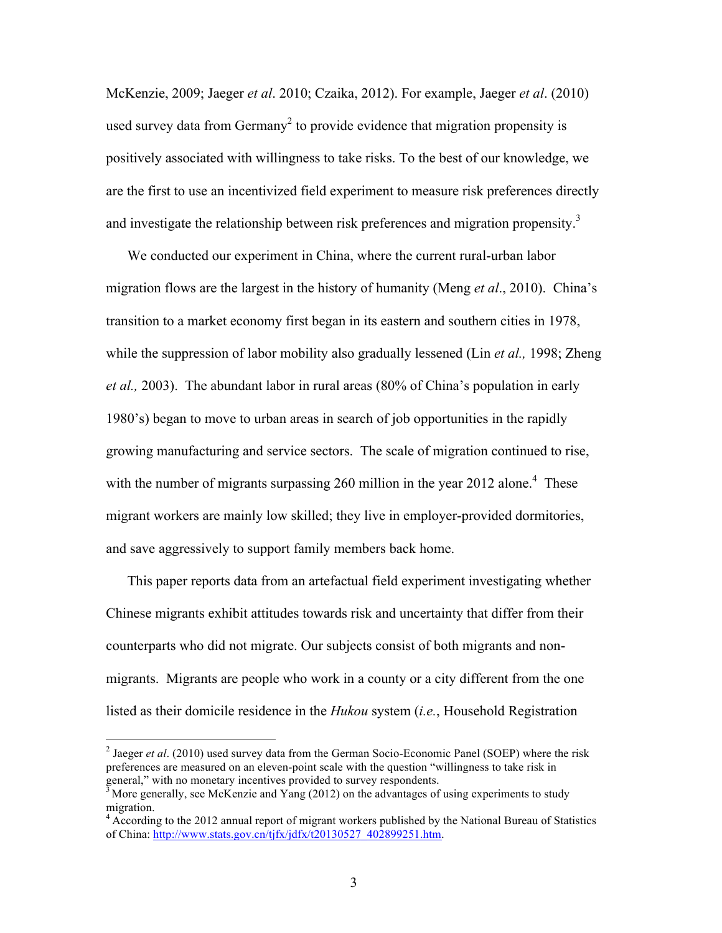McKenzie, 2009; Jaeger *et al*. 2010; Czaika, 2012). For example, Jaeger *et al*. (2010) used survey data from Germany<sup>2</sup> to provide evidence that migration propensity is positively associated with willingness to take risks. To the best of our knowledge, we are the first to use an incentivized field experiment to measure risk preferences directly and investigate the relationship between risk preferences and migration propensity.<sup>3</sup>

We conducted our experiment in China, where the current rural-urban labor migration flows are the largest in the history of humanity (Meng *et al*., 2010). China's transition to a market economy first began in its eastern and southern cities in 1978, while the suppression of labor mobility also gradually lessened (Lin *et al.,* 1998; Zheng *et al.,* 2003). The abundant labor in rural areas (80% of China's population in early 1980's) began to move to urban areas in search of job opportunities in the rapidly growing manufacturing and service sectors. The scale of migration continued to rise, with the number of migrants surpassing 260 million in the year 2012 alone.<sup>4</sup> These migrant workers are mainly low skilled; they live in employer-provided dormitories, and save aggressively to support family members back home.

This paper reports data from an artefactual field experiment investigating whether Chinese migrants exhibit attitudes towards risk and uncertainty that differ from their counterparts who did not migrate. Our subjects consist of both migrants and nonmigrants. Migrants are people who work in a county or a city different from the one listed as their domicile residence in the *Hukou* system (*i.e.*, Household Registration

 <sup>2</sup> Jaeger *et al*. (2010) used survey data from the German Socio-Economic Panel (SOEP) where the risk preferences are measured on an eleven-point scale with the question "willingness to take risk in general," with no monetary incentives provided to survey respondents.

 $3<sup>3</sup>$  More generally, see McKenzie and Yang (2012) on the advantages of using experiments to study migration.

<sup>&</sup>lt;sup>4</sup> According to the 2012 annual report of migrant workers published by the National Bureau of Statistics of China: http://www.stats.gov.cn/tjfx/jdfx/t20130527\_402899251.htm.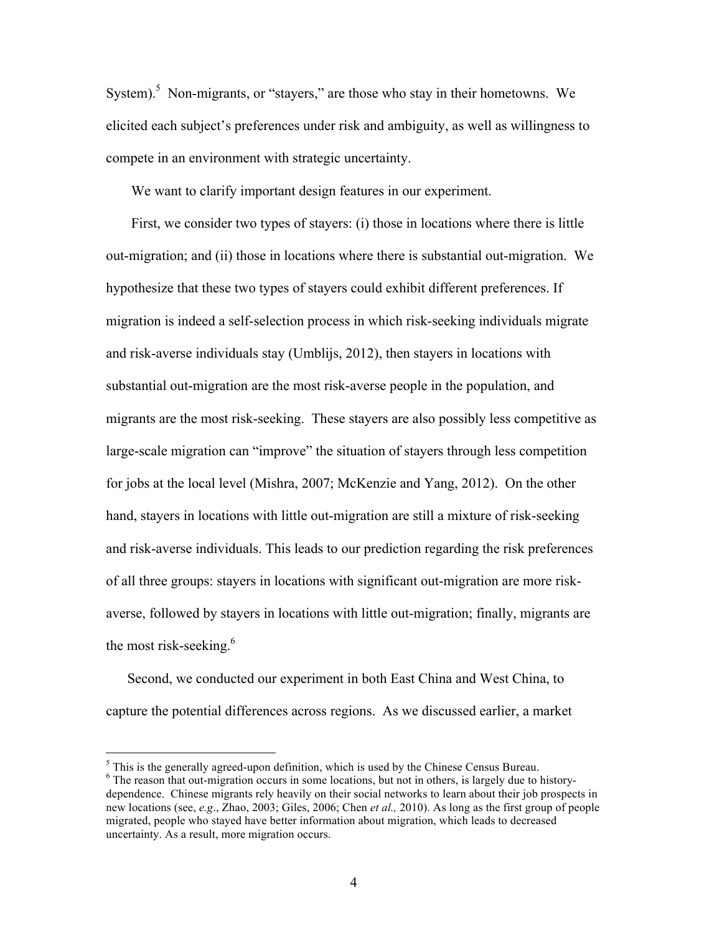System).<sup>5</sup> Non-migrants, or "stayers," are those who stay in their hometowns. We elicited each subject's preferences under risk and ambiguity, as well as willingness to compete in an environment with strategic uncertainty.

We want to clarify important design features in our experiment.

First, we consider two types of stayers: (i) those in locations where there is little out-migration; and (ii) those in locations where there is substantial out-migration. We hypothesize that these two types of stayers could exhibit different preferences. If migration is indeed a self-selection process in which risk-seeking individuals migrate and risk-averse individuals stay (Umblijs, 2012), then stayers in locations with substantial out-migration are the most risk-averse people in the population, and migrants are the most risk-seeking. These stayers are also possibly less competitive as large-scale migration can "improve" the situation of stayers through less competition for jobs at the local level (Mishra, 2007; McKenzie and Yang, 2012). On the other hand, stayers in locations with little out-migration are still a mixture of risk-seeking and risk-averse individuals. This leads to our prediction regarding the risk preferences of all three groups: stayers in locations with significant out-migration are more riskaverse, followed by stayers in locations with little out-migration; finally, migrants are the most risk-seeking.<sup>6</sup>

Second, we conducted our experiment in both East China and West China, to capture the potential differences across regions. As we discussed earlier, a market

 $5$  This is the generally agreed-upon definition, which is used by the Chinese Census Bureau.<br> $6$  The reason that out-migration occurs in some locations, but not in others, is largely due to history-

dependence. Chinese migrants rely heavily on their social networks to learn about their job prospects in new locations (see, *e.g*., Zhao, 2003; Giles, 2006; Chen *et al.,* 2010). As long as the first group of people migrated, people who stayed have better information about migration, which leads to decreased uncertainty. As a result, more migration occurs.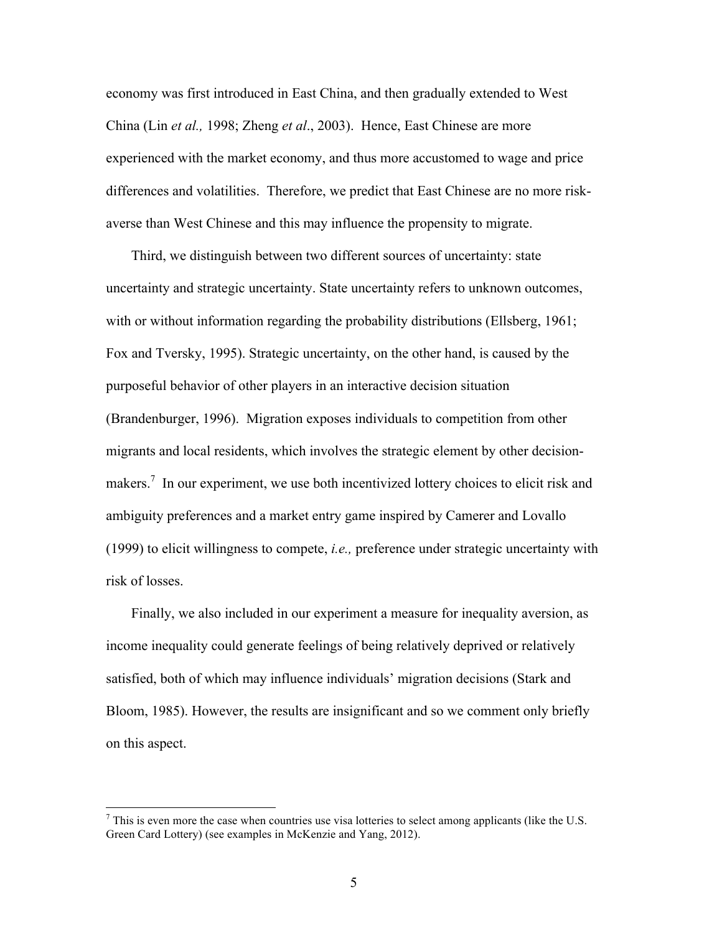economy was first introduced in East China, and then gradually extended to West China (Lin *et al.,* 1998; Zheng *et al*., 2003). Hence, East Chinese are more experienced with the market economy, and thus more accustomed to wage and price differences and volatilities. Therefore, we predict that East Chinese are no more riskaverse than West Chinese and this may influence the propensity to migrate.

Third, we distinguish between two different sources of uncertainty: state uncertainty and strategic uncertainty. State uncertainty refers to unknown outcomes, with or without information regarding the probability distributions (Ellsberg, 1961; Fox and Tversky, 1995). Strategic uncertainty, on the other hand, is caused by the purposeful behavior of other players in an interactive decision situation (Brandenburger, 1996). Migration exposes individuals to competition from other migrants and local residents, which involves the strategic element by other decisionmakers.<sup>7</sup> In our experiment, we use both incentivized lottery choices to elicit risk and ambiguity preferences and a market entry game inspired by Camerer and Lovallo (1999) to elicit willingness to compete, *i.e.,* preference under strategic uncertainty with risk of losses.

Finally, we also included in our experiment a measure for inequality aversion, as income inequality could generate feelings of being relatively deprived or relatively satisfied, both of which may influence individuals' migration decisions (Stark and Bloom, 1985). However, the results are insignificant and so we comment only briefly on this aspect.

 $^7$  This is even more the case when countries use visa lotteries to select among applicants (like the U.S. Green Card Lottery) (see examples in McKenzie and Yang, 2012).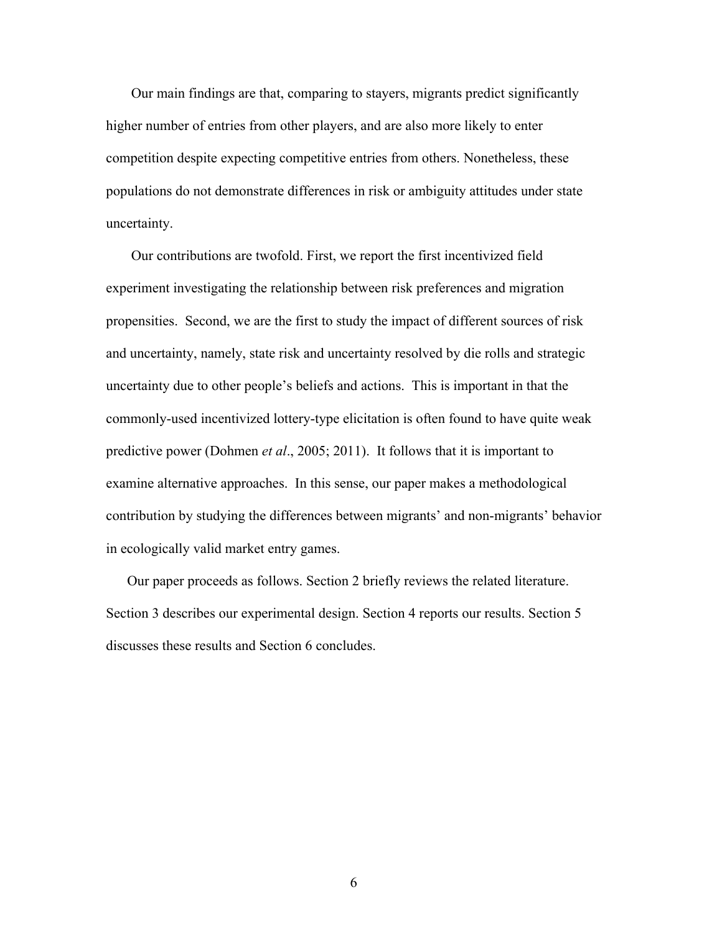Our main findings are that, comparing to stayers, migrants predict significantly higher number of entries from other players, and are also more likely to enter competition despite expecting competitive entries from others. Nonetheless, these populations do not demonstrate differences in risk or ambiguity attitudes under state uncertainty.

Our contributions are twofold. First, we report the first incentivized field experiment investigating the relationship between risk preferences and migration propensities. Second, we are the first to study the impact of different sources of risk and uncertainty, namely, state risk and uncertainty resolved by die rolls and strategic uncertainty due to other people's beliefs and actions. This is important in that the commonly-used incentivized lottery-type elicitation is often found to have quite weak predictive power (Dohmen *et al*., 2005; 2011). It follows that it is important to examine alternative approaches. In this sense, our paper makes a methodological contribution by studying the differences between migrants' and non-migrants' behavior in ecologically valid market entry games.

Our paper proceeds as follows. Section 2 briefly reviews the related literature. Section 3 describes our experimental design. Section 4 reports our results. Section 5 discusses these results and Section 6 concludes.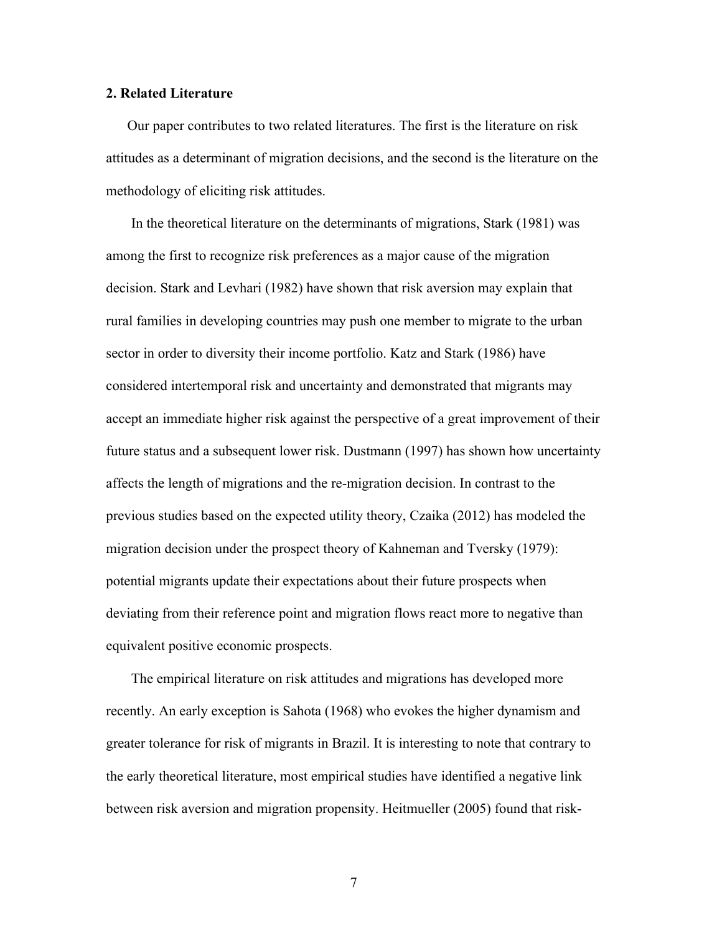#### **2. Related Literature**

Our paper contributes to two related literatures. The first is the literature on risk attitudes as a determinant of migration decisions, and the second is the literature on the methodology of eliciting risk attitudes.

In the theoretical literature on the determinants of migrations, Stark (1981) was among the first to recognize risk preferences as a major cause of the migration decision. Stark and Levhari (1982) have shown that risk aversion may explain that rural families in developing countries may push one member to migrate to the urban sector in order to diversity their income portfolio. Katz and Stark (1986) have considered intertemporal risk and uncertainty and demonstrated that migrants may accept an immediate higher risk against the perspective of a great improvement of their future status and a subsequent lower risk. Dustmann (1997) has shown how uncertainty affects the length of migrations and the re-migration decision. In contrast to the previous studies based on the expected utility theory, Czaika (2012) has modeled the migration decision under the prospect theory of Kahneman and Tversky (1979): potential migrants update their expectations about their future prospects when deviating from their reference point and migration flows react more to negative than equivalent positive economic prospects.

The empirical literature on risk attitudes and migrations has developed more recently. An early exception is Sahota (1968) who evokes the higher dynamism and greater tolerance for risk of migrants in Brazil. It is interesting to note that contrary to the early theoretical literature, most empirical studies have identified a negative link between risk aversion and migration propensity. Heitmueller (2005) found that risk-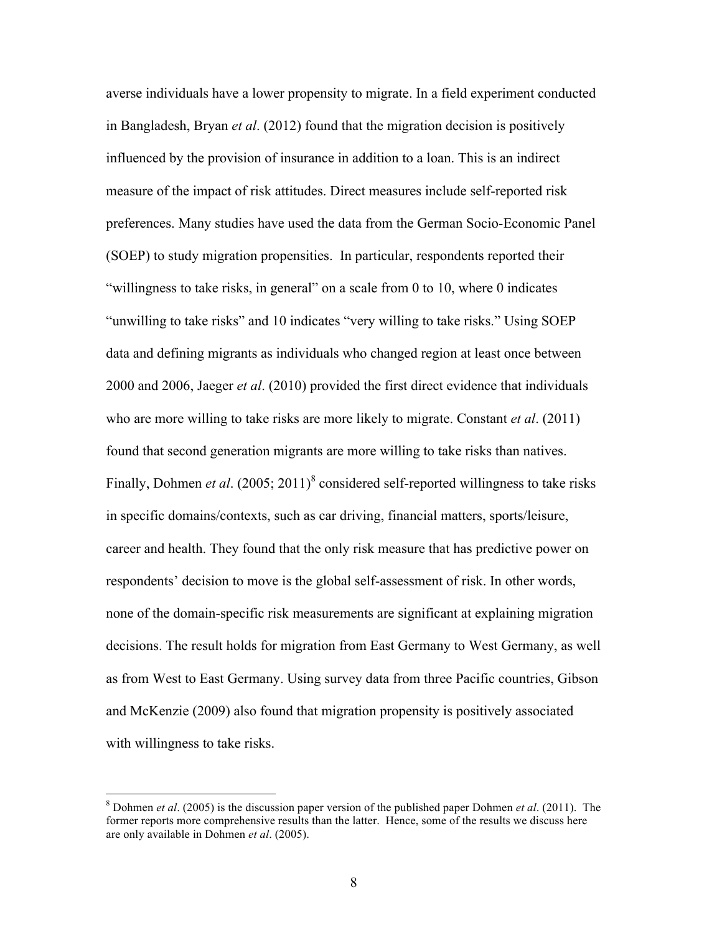averse individuals have a lower propensity to migrate. In a field experiment conducted in Bangladesh, Bryan *et al*. (2012) found that the migration decision is positively influenced by the provision of insurance in addition to a loan. This is an indirect measure of the impact of risk attitudes. Direct measures include self-reported risk preferences. Many studies have used the data from the German Socio-Economic Panel (SOEP) to study migration propensities. In particular, respondents reported their "willingness to take risks, in general" on a scale from 0 to 10, where 0 indicates "unwilling to take risks" and 10 indicates "very willing to take risks." Using SOEP data and defining migrants as individuals who changed region at least once between 2000 and 2006, Jaeger *et al*. (2010) provided the first direct evidence that individuals who are more willing to take risks are more likely to migrate. Constant *et al*. (2011) found that second generation migrants are more willing to take risks than natives. Finally, Dohmen *et al*. (2005; 2011) <sup>8</sup> considered self-reported willingness to take risks in specific domains/contexts, such as car driving, financial matters, sports/leisure, career and health. They found that the only risk measure that has predictive power on respondents' decision to move is the global self-assessment of risk. In other words, none of the domain-specific risk measurements are significant at explaining migration decisions. The result holds for migration from East Germany to West Germany, as well as from West to East Germany. Using survey data from three Pacific countries, Gibson and McKenzie (2009) also found that migration propensity is positively associated with willingness to take risks.

 <sup>8</sup> Dohmen *et al*. (2005) is the discussion paper version of the published paper Dohmen *et al*. (2011). The former reports more comprehensive results than the latter. Hence, some of the results we discuss here are only available in Dohmen *et al*. (2005).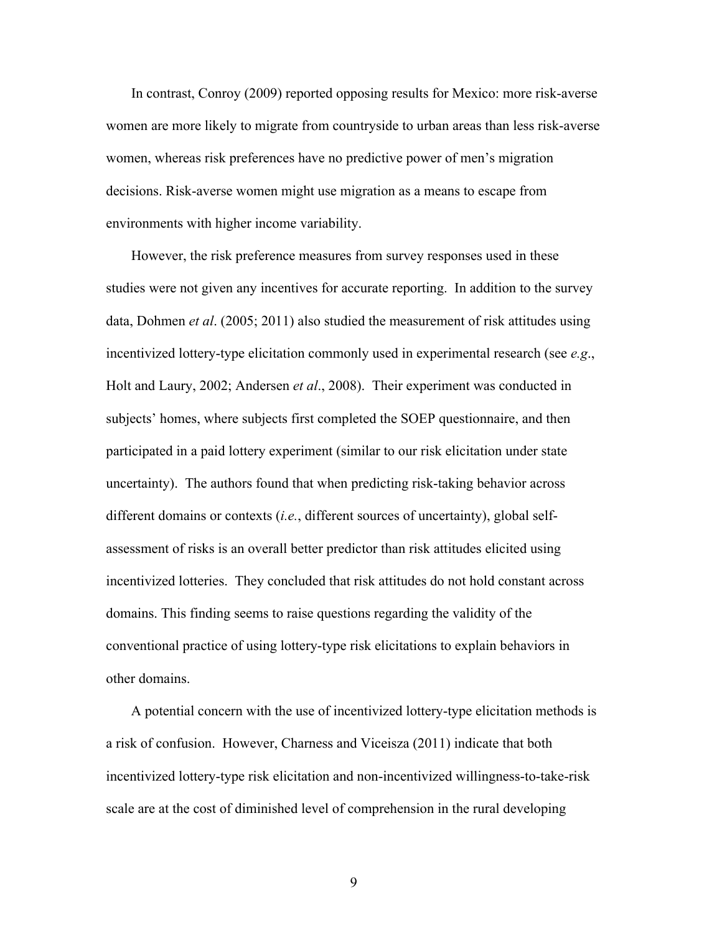In contrast, Conroy (2009) reported opposing results for Mexico: more risk-averse women are more likely to migrate from countryside to urban areas than less risk-averse women, whereas risk preferences have no predictive power of men's migration decisions. Risk-averse women might use migration as a means to escape from environments with higher income variability.

However, the risk preference measures from survey responses used in these studies were not given any incentives for accurate reporting. In addition to the survey data, Dohmen *et al*. (2005; 2011) also studied the measurement of risk attitudes using incentivized lottery-type elicitation commonly used in experimental research (see *e.g*., Holt and Laury, 2002; Andersen *et al*., 2008). Their experiment was conducted in subjects' homes, where subjects first completed the SOEP questionnaire, and then participated in a paid lottery experiment (similar to our risk elicitation under state uncertainty). The authors found that when predicting risk-taking behavior across different domains or contexts (*i.e.*, different sources of uncertainty), global selfassessment of risks is an overall better predictor than risk attitudes elicited using incentivized lotteries. They concluded that risk attitudes do not hold constant across domains. This finding seems to raise questions regarding the validity of the conventional practice of using lottery-type risk elicitations to explain behaviors in other domains.

A potential concern with the use of incentivized lottery-type elicitation methods is a risk of confusion. However, Charness and Viceisza (2011) indicate that both incentivized lottery-type risk elicitation and non-incentivized willingness-to-take-risk scale are at the cost of diminished level of comprehension in the rural developing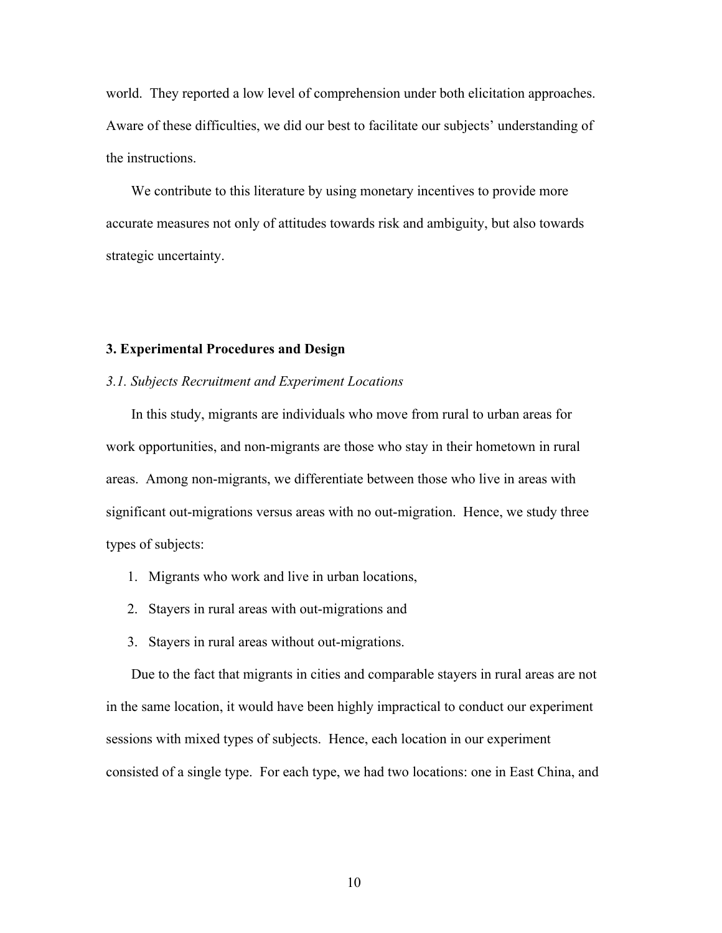world. They reported a low level of comprehension under both elicitation approaches. Aware of these difficulties, we did our best to facilitate our subjects' understanding of the instructions.

We contribute to this literature by using monetary incentives to provide more accurate measures not only of attitudes towards risk and ambiguity, but also towards strategic uncertainty.

#### **3. Experimental Procedures and Design**

#### *3.1. Subjects Recruitment and Experiment Locations*

In this study, migrants are individuals who move from rural to urban areas for work opportunities, and non-migrants are those who stay in their hometown in rural areas. Among non-migrants, we differentiate between those who live in areas with significant out-migrations versus areas with no out-migration. Hence, we study three types of subjects:

- 1. Migrants who work and live in urban locations,
- 2. Stayers in rural areas with out-migrations and
- 3. Stayers in rural areas without out-migrations.

Due to the fact that migrants in cities and comparable stayers in rural areas are not in the same location, it would have been highly impractical to conduct our experiment sessions with mixed types of subjects. Hence, each location in our experiment consisted of a single type. For each type, we had two locations: one in East China, and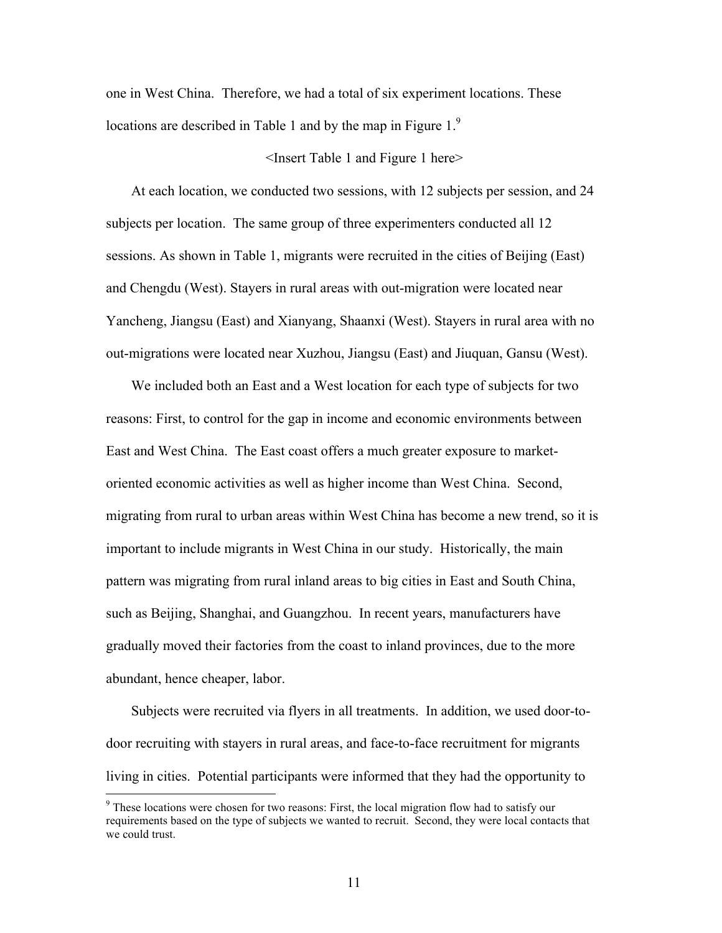one in West China. Therefore, we had a total of six experiment locations. These locations are described in Table 1 and by the map in Figure  $1<sup>9</sup>$ 

#### <Insert Table 1 and Figure 1 here>

At each location, we conducted two sessions, with 12 subjects per session, and 24 subjects per location. The same group of three experimenters conducted all 12 sessions. As shown in Table 1, migrants were recruited in the cities of Beijing (East) and Chengdu (West). Stayers in rural areas with out-migration were located near Yancheng, Jiangsu (East) and Xianyang, Shaanxi (West). Stayers in rural area with no out-migrations were located near Xuzhou, Jiangsu (East) and Jiuquan, Gansu (West).

We included both an East and a West location for each type of subjects for two reasons: First, to control for the gap in income and economic environments between East and West China. The East coast offers a much greater exposure to marketoriented economic activities as well as higher income than West China. Second, migrating from rural to urban areas within West China has become a new trend, so it is important to include migrants in West China in our study. Historically, the main pattern was migrating from rural inland areas to big cities in East and South China, such as Beijing, Shanghai, and Guangzhou. In recent years, manufacturers have gradually moved their factories from the coast to inland provinces, due to the more abundant, hence cheaper, labor.

Subjects were recruited via flyers in all treatments. In addition, we used door-todoor recruiting with stayers in rural areas, and face-to-face recruitment for migrants living in cities. Potential participants were informed that they had the opportunity to

<sup>&</sup>lt;sup>9</sup> These locations were chosen for two reasons: First, the local migration flow had to satisfy our requirements based on the type of subjects we wanted to recruit. Second, they were local contacts that we could trust.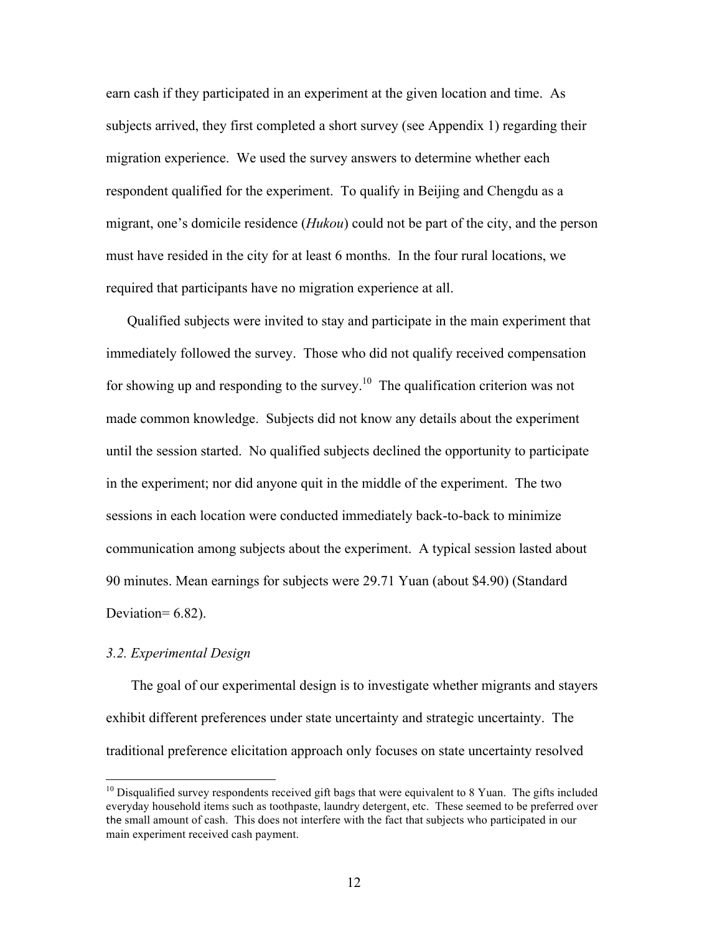earn cash if they participated in an experiment at the given location and time. As subjects arrived, they first completed a short survey (see Appendix 1) regarding their migration experience. We used the survey answers to determine whether each respondent qualified for the experiment. To qualify in Beijing and Chengdu as a migrant, one's domicile residence (*Hukou*) could not be part of the city, and the person must have resided in the city for at least 6 months. In the four rural locations, we required that participants have no migration experience at all.

Qualified subjects were invited to stay and participate in the main experiment that immediately followed the survey. Those who did not qualify received compensation for showing up and responding to the survey.<sup>10</sup> The qualification criterion was not made common knowledge. Subjects did not know any details about the experiment until the session started. No qualified subjects declined the opportunity to participate in the experiment; nor did anyone quit in the middle of the experiment. The two sessions in each location were conducted immediately back-to-back to minimize communication among subjects about the experiment. A typical session lasted about 90 minutes. Mean earnings for subjects were 29.71 Yuan (about \$4.90) (Standard Deviation= 6.82).

#### *3.2. Experimental Design*

The goal of our experimental design is to investigate whether migrants and stayers exhibit different preferences under state uncertainty and strategic uncertainty. The traditional preference elicitation approach only focuses on state uncertainty resolved

 $10$  Disqualified survey respondents received gift bags that were equivalent to 8 Yuan. The gifts included everyday household items such as toothpaste, laundry detergent, etc. These seemed to be preferred over the small amount of cash. This does not interfere with the fact that subjects who participated in our main experiment received cash payment.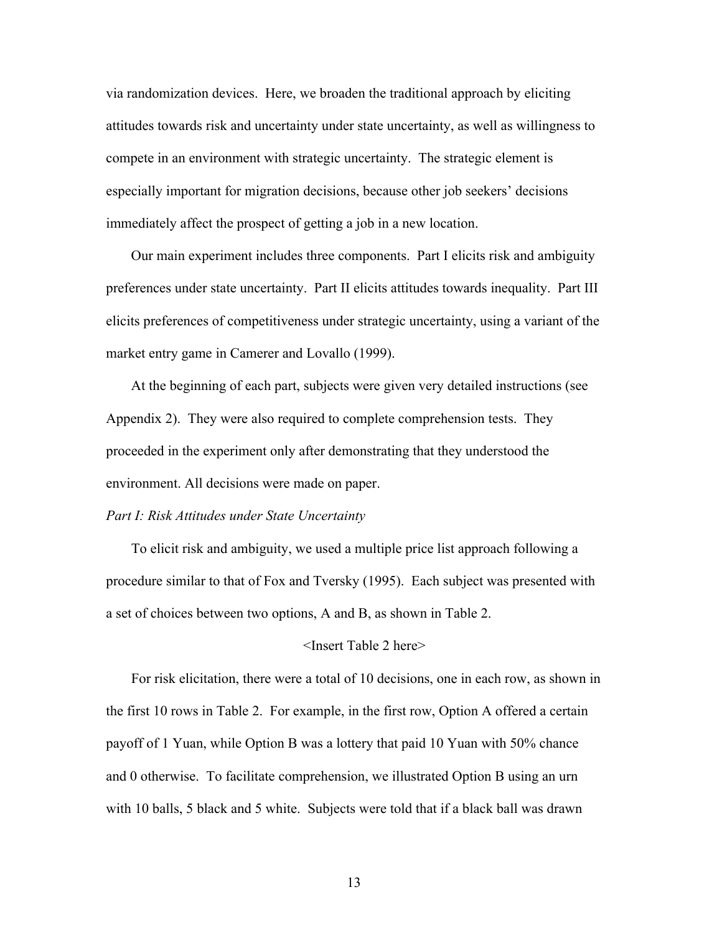via randomization devices. Here, we broaden the traditional approach by eliciting attitudes towards risk and uncertainty under state uncertainty, as well as willingness to compete in an environment with strategic uncertainty. The strategic element is especially important for migration decisions, because other job seekers' decisions immediately affect the prospect of getting a job in a new location.

Our main experiment includes three components. Part I elicits risk and ambiguity preferences under state uncertainty. Part II elicits attitudes towards inequality. Part III elicits preferences of competitiveness under strategic uncertainty, using a variant of the market entry game in Camerer and Lovallo (1999).

At the beginning of each part, subjects were given very detailed instructions (see Appendix 2). They were also required to complete comprehension tests. They proceeded in the experiment only after demonstrating that they understood the environment. All decisions were made on paper.

#### *Part I: Risk Attitudes under State Uncertainty*

To elicit risk and ambiguity, we used a multiple price list approach following a procedure similar to that of Fox and Tversky (1995). Each subject was presented with a set of choices between two options, A and B, as shown in Table 2.

#### <Insert Table 2 here>

For risk elicitation, there were a total of 10 decisions, one in each row, as shown in the first 10 rows in Table 2. For example, in the first row, Option A offered a certain payoff of 1 Yuan, while Option B was a lottery that paid 10 Yuan with 50% chance and 0 otherwise. To facilitate comprehension, we illustrated Option B using an urn with 10 balls, 5 black and 5 white. Subjects were told that if a black ball was drawn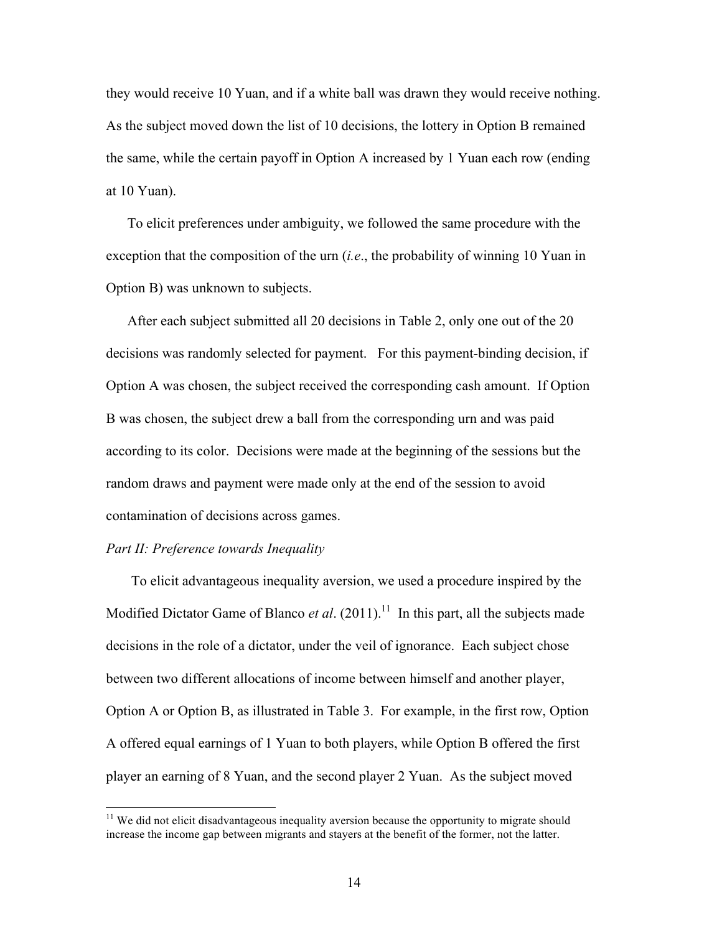they would receive 10 Yuan, and if a white ball was drawn they would receive nothing. As the subject moved down the list of 10 decisions, the lottery in Option B remained the same, while the certain payoff in Option A increased by 1 Yuan each row (ending at 10 Yuan).

To elicit preferences under ambiguity, we followed the same procedure with the exception that the composition of the urn (*i.e*., the probability of winning 10 Yuan in Option B) was unknown to subjects.

After each subject submitted all 20 decisions in Table 2, only one out of the 20 decisions was randomly selected for payment. For this payment-binding decision, if Option A was chosen, the subject received the corresponding cash amount. If Option B was chosen, the subject drew a ball from the corresponding urn and was paid according to its color. Decisions were made at the beginning of the sessions but the random draws and payment were made only at the end of the session to avoid contamination of decisions across games.

### *Part II: Preference towards Inequality*

To elicit advantageous inequality aversion, we used a procedure inspired by the Modified Dictator Game of Blanco *et al.* (2011).<sup>11</sup> In this part, all the subjects made decisions in the role of a dictator, under the veil of ignorance. Each subject chose between two different allocations of income between himself and another player, Option A or Option B, as illustrated in Table 3. For example, in the first row, Option A offered equal earnings of 1 Yuan to both players, while Option B offered the first player an earning of 8 Yuan, and the second player 2 Yuan. As the subject moved

 $11$  We did not elicit disadvantageous inequality aversion because the opportunity to migrate should increase the income gap between migrants and stayers at the benefit of the former, not the latter.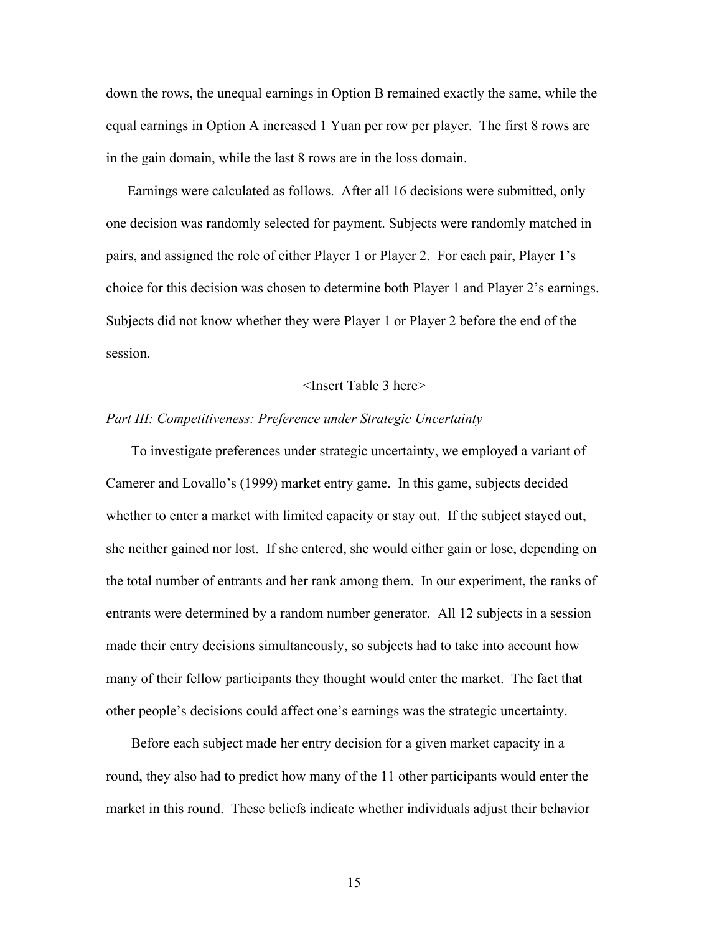down the rows, the unequal earnings in Option B remained exactly the same, while the equal earnings in Option A increased 1 Yuan per row per player. The first 8 rows are in the gain domain, while the last 8 rows are in the loss domain.

Earnings were calculated as follows. After all 16 decisions were submitted, only one decision was randomly selected for payment. Subjects were randomly matched in pairs, and assigned the role of either Player 1 or Player 2. For each pair, Player 1's choice for this decision was chosen to determine both Player 1 and Player 2's earnings. Subjects did not know whether they were Player 1 or Player 2 before the end of the session.

#### <Insert Table 3 here>

#### *Part III: Competitiveness: Preference under Strategic Uncertainty*

To investigate preferences under strategic uncertainty, we employed a variant of Camerer and Lovallo's (1999) market entry game. In this game, subjects decided whether to enter a market with limited capacity or stay out. If the subject stayed out, she neither gained nor lost. If she entered, she would either gain or lose, depending on the total number of entrants and her rank among them. In our experiment, the ranks of entrants were determined by a random number generator. All 12 subjects in a session made their entry decisions simultaneously, so subjects had to take into account how many of their fellow participants they thought would enter the market. The fact that other people's decisions could affect one's earnings was the strategic uncertainty.

Before each subject made her entry decision for a given market capacity in a round, they also had to predict how many of the 11 other participants would enter the market in this round. These beliefs indicate whether individuals adjust their behavior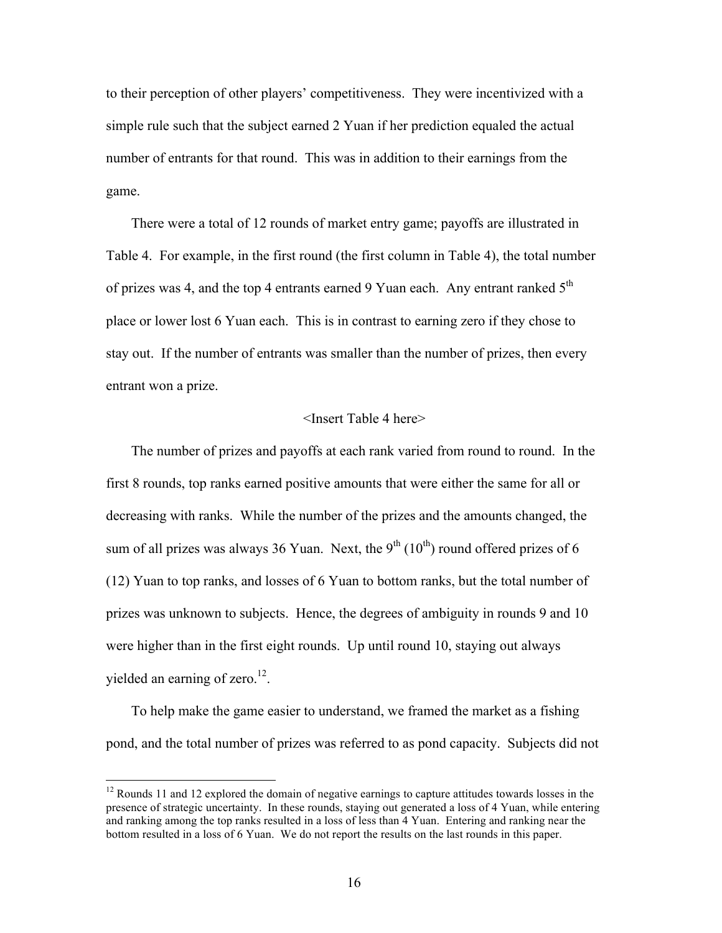to their perception of other players' competitiveness. They were incentivized with a simple rule such that the subject earned 2 Yuan if her prediction equaled the actual number of entrants for that round. This was in addition to their earnings from the game.

There were a total of 12 rounds of market entry game; payoffs are illustrated in Table 4. For example, in the first round (the first column in Table 4), the total number of prizes was 4, and the top 4 entrants earned 9 Yuan each. Any entrant ranked  $5<sup>th</sup>$ place or lower lost 6 Yuan each. This is in contrast to earning zero if they chose to stay out. If the number of entrants was smaller than the number of prizes, then every entrant won a prize.

### <Insert Table 4 here>

The number of prizes and payoffs at each rank varied from round to round. In the first 8 rounds, top ranks earned positive amounts that were either the same for all or decreasing with ranks. While the number of the prizes and the amounts changed, the sum of all prizes was always 36 Yuan. Next, the  $9<sup>th</sup> (10<sup>th</sup>)$  round offered prizes of 6 (12) Yuan to top ranks, and losses of 6 Yuan to bottom ranks, but the total number of prizes was unknown to subjects. Hence, the degrees of ambiguity in rounds 9 and 10 were higher than in the first eight rounds. Up until round 10, staying out always yielded an earning of zero.<sup>12</sup>.

To help make the game easier to understand, we framed the market as a fishing pond, and the total number of prizes was referred to as pond capacity. Subjects did not

<sup>&</sup>lt;sup>12</sup> Rounds 11 and 12 explored the domain of negative earnings to capture attitudes towards losses in the presence of strategic uncertainty. In these rounds, staying out generated a loss of 4 Yuan, while entering and ranking among the top ranks resulted in a loss of less than 4 Yuan. Entering and ranking near the bottom resulted in a loss of 6 Yuan. We do not report the results on the last rounds in this paper.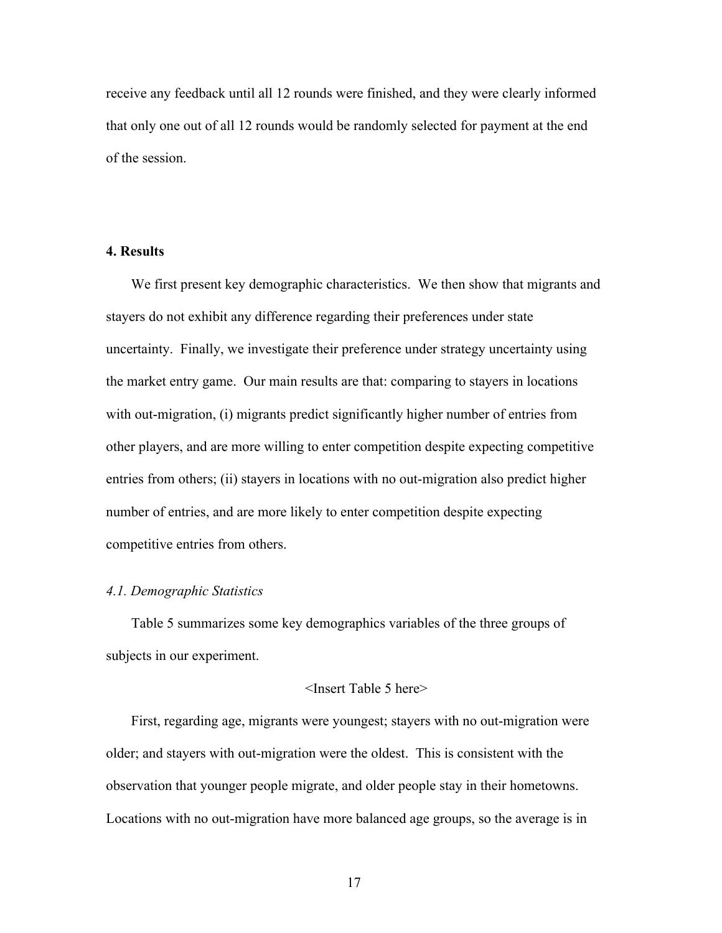receive any feedback until all 12 rounds were finished, and they were clearly informed that only one out of all 12 rounds would be randomly selected for payment at the end of the session.

#### **4. Results**

We first present key demographic characteristics. We then show that migrants and stayers do not exhibit any difference regarding their preferences under state uncertainty. Finally, we investigate their preference under strategy uncertainty using the market entry game. Our main results are that: comparing to stayers in locations with out-migration, (i) migrants predict significantly higher number of entries from other players, and are more willing to enter competition despite expecting competitive entries from others; (ii) stayers in locations with no out-migration also predict higher number of entries, and are more likely to enter competition despite expecting competitive entries from others.

#### *4.1. Demographic Statistics*

Table 5 summarizes some key demographics variables of the three groups of subjects in our experiment.

### <Insert Table 5 here>

First, regarding age, migrants were youngest; stayers with no out-migration were older; and stayers with out-migration were the oldest. This is consistent with the observation that younger people migrate, and older people stay in their hometowns. Locations with no out-migration have more balanced age groups, so the average is in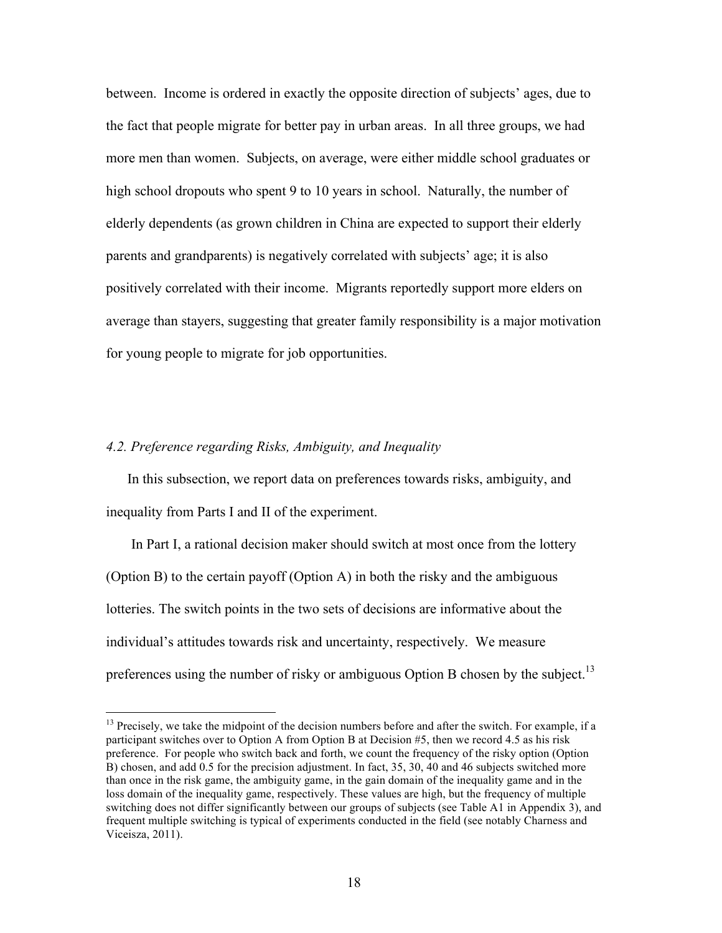between. Income is ordered in exactly the opposite direction of subjects' ages, due to the fact that people migrate for better pay in urban areas. In all three groups, we had more men than women. Subjects, on average, were either middle school graduates or high school dropouts who spent 9 to 10 years in school. Naturally, the number of elderly dependents (as grown children in China are expected to support their elderly parents and grandparents) is negatively correlated with subjects' age; it is also positively correlated with their income. Migrants reportedly support more elders on average than stayers, suggesting that greater family responsibility is a major motivation for young people to migrate for job opportunities.

#### *4.2. Preference regarding Risks, Ambiguity, and Inequality*

In this subsection, we report data on preferences towards risks, ambiguity, and inequality from Parts I and II of the experiment.

In Part I, a rational decision maker should switch at most once from the lottery (Option B) to the certain payoff (Option A) in both the risky and the ambiguous lotteries. The switch points in the two sets of decisions are informative about the individual's attitudes towards risk and uncertainty, respectively. We measure preferences using the number of risky or ambiguous Option B chosen by the subject.<sup>13</sup>

 $13$  Precisely, we take the midpoint of the decision numbers before and after the switch. For example, if a participant switches over to Option A from Option B at Decision #5, then we record 4.5 as his risk preference. For people who switch back and forth, we count the frequency of the risky option (Option B) chosen, and add 0.5 for the precision adjustment. In fact, 35, 30, 40 and 46 subjects switched more than once in the risk game, the ambiguity game, in the gain domain of the inequality game and in the loss domain of the inequality game, respectively. These values are high, but the frequency of multiple switching does not differ significantly between our groups of subjects (see Table A1 in Appendix 3), and frequent multiple switching is typical of experiments conducted in the field (see notably Charness and Viceisza, 2011).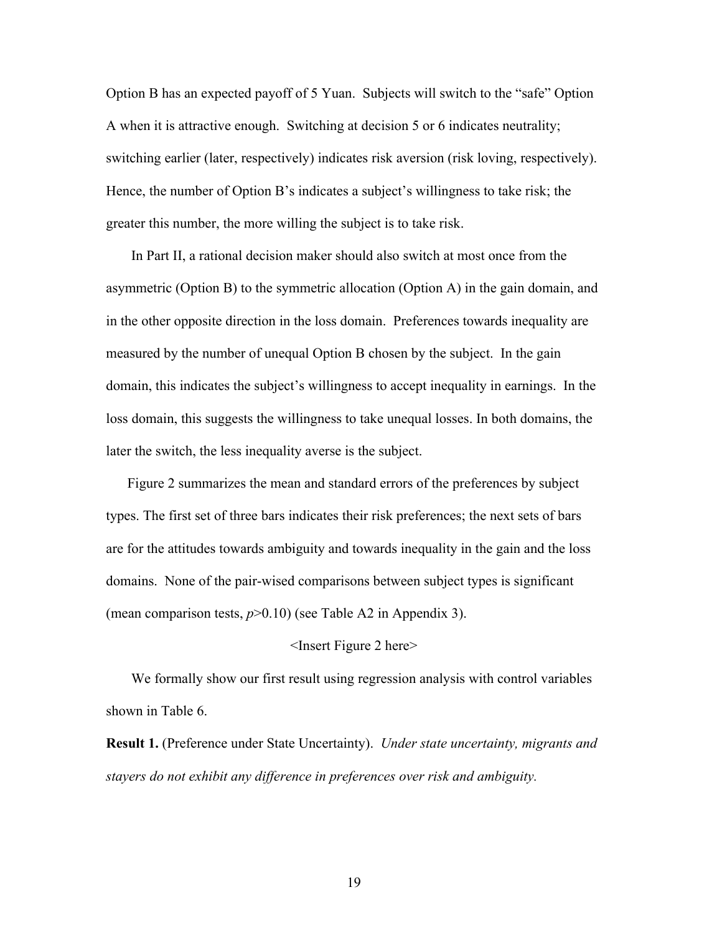Option B has an expected payoff of 5 Yuan. Subjects will switch to the "safe" Option A when it is attractive enough. Switching at decision 5 or 6 indicates neutrality; switching earlier (later, respectively) indicates risk aversion (risk loving, respectively). Hence, the number of Option B's indicates a subject's willingness to take risk; the greater this number, the more willing the subject is to take risk.

In Part II, a rational decision maker should also switch at most once from the asymmetric (Option B) to the symmetric allocation (Option A) in the gain domain, and in the other opposite direction in the loss domain. Preferences towards inequality are measured by the number of unequal Option B chosen by the subject. In the gain domain, this indicates the subject's willingness to accept inequality in earnings. In the loss domain, this suggests the willingness to take unequal losses. In both domains, the later the switch, the less inequality averse is the subject.

Figure 2 summarizes the mean and standard errors of the preferences by subject types. The first set of three bars indicates their risk preferences; the next sets of bars are for the attitudes towards ambiguity and towards inequality in the gain and the loss domains. None of the pair-wised comparisons between subject types is significant (mean comparison tests, *p*>0.10) (see Table A2 in Appendix 3).

#### <Insert Figure 2 here>

We formally show our first result using regression analysis with control variables shown in Table 6.

**Result 1.** (Preference under State Uncertainty). *Under state uncertainty, migrants and stayers do not exhibit any difference in preferences over risk and ambiguity.*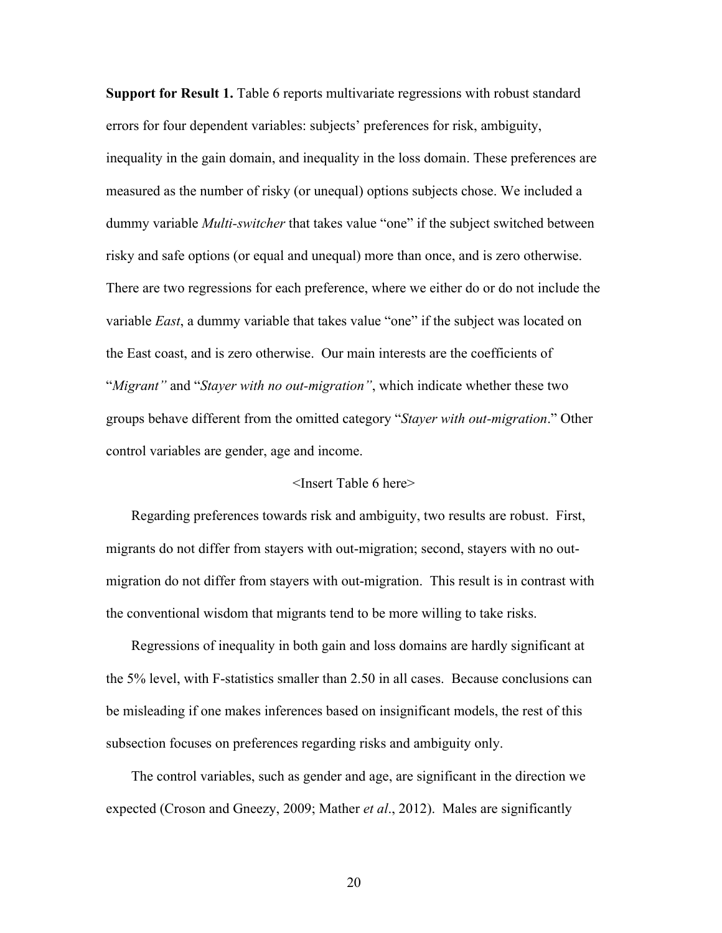**Support for Result 1.** Table 6 reports multivariate regressions with robust standard errors for four dependent variables: subjects' preferences for risk, ambiguity, inequality in the gain domain, and inequality in the loss domain. These preferences are measured as the number of risky (or unequal) options subjects chose. We included a dummy variable *Multi-switcher* that takes value "one" if the subject switched between risky and safe options (or equal and unequal) more than once, and is zero otherwise. There are two regressions for each preference, where we either do or do not include the variable *East*, a dummy variable that takes value "one" if the subject was located on the East coast, and is zero otherwise. Our main interests are the coefficients of "*Migrant"* and "*Stayer with no out-migration"*, which indicate whether these two groups behave different from the omitted category "*Stayer with out-migration*." Other control variables are gender, age and income.

### <Insert Table 6 here>

Regarding preferences towards risk and ambiguity, two results are robust. First, migrants do not differ from stayers with out-migration; second, stayers with no outmigration do not differ from stayers with out-migration. This result is in contrast with the conventional wisdom that migrants tend to be more willing to take risks.

Regressions of inequality in both gain and loss domains are hardly significant at the 5% level, with F-statistics smaller than 2.50 in all cases. Because conclusions can be misleading if one makes inferences based on insignificant models, the rest of this subsection focuses on preferences regarding risks and ambiguity only.

The control variables, such as gender and age, are significant in the direction we expected (Croson and Gneezy, 2009; Mather *et al*., 2012). Males are significantly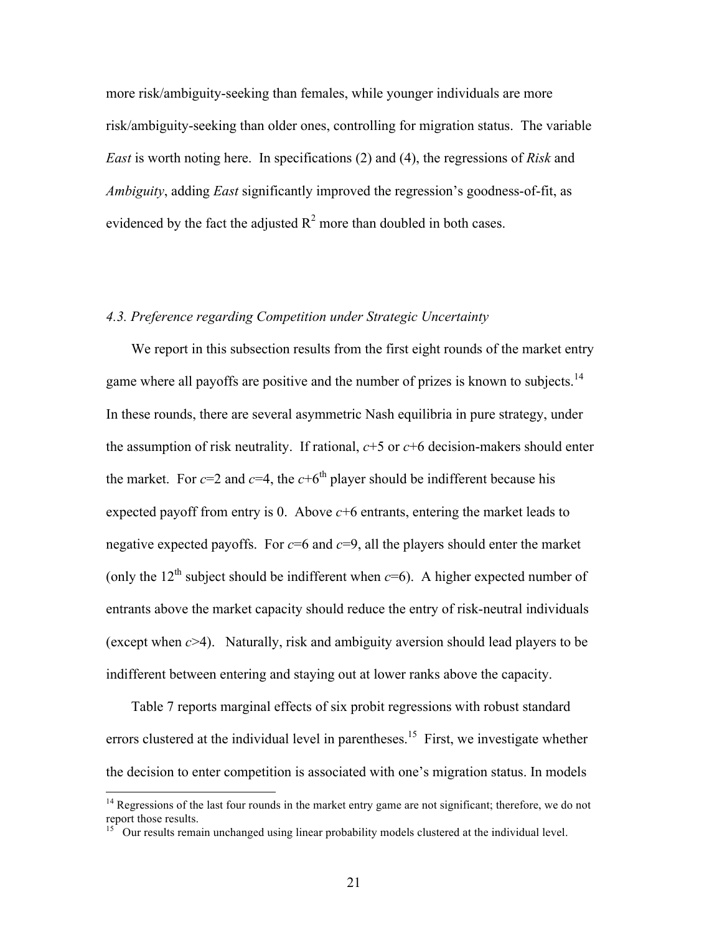more risk/ambiguity-seeking than females, while younger individuals are more risk/ambiguity-seeking than older ones, controlling for migration status. The variable *East* is worth noting here. In specifications (2) and (4), the regressions of *Risk* and *Ambiguity*, adding *East* significantly improved the regression's goodness-of-fit, as evidenced by the fact the adjusted  $R^2$  more than doubled in both cases.

### *4.3. Preference regarding Competition under Strategic Uncertainty*

We report in this subsection results from the first eight rounds of the market entry game where all payoffs are positive and the number of prizes is known to subjects.<sup>14</sup> In these rounds, there are several asymmetric Nash equilibria in pure strategy, under the assumption of risk neutrality. If rational,  $c+5$  or  $c+6$  decision-makers should enter the market. For  $c=2$  and  $c=4$ , the  $c+6$ <sup>th</sup> player should be indifferent because his expected payoff from entry is 0. Above  $c+6$  entrants, entering the market leads to negative expected payoffs. For  $c=6$  and  $c=9$ , all the players should enter the market (only the  $12<sup>th</sup>$  subject should be indifferent when  $c=6$ ). A higher expected number of entrants above the market capacity should reduce the entry of risk-neutral individuals (except when *c*>4). Naturally, risk and ambiguity aversion should lead players to be indifferent between entering and staying out at lower ranks above the capacity.

Table 7 reports marginal effects of six probit regressions with robust standard errors clustered at the individual level in parentheses.<sup>15</sup> First, we investigate whether the decision to enter competition is associated with one's migration status. In models

<sup>&</sup>lt;sup>14</sup> Regressions of the last four rounds in the market entry game are not significant; therefore, we do not report those results.

 $15$  Our results remain unchanged using linear probability models clustered at the individual level.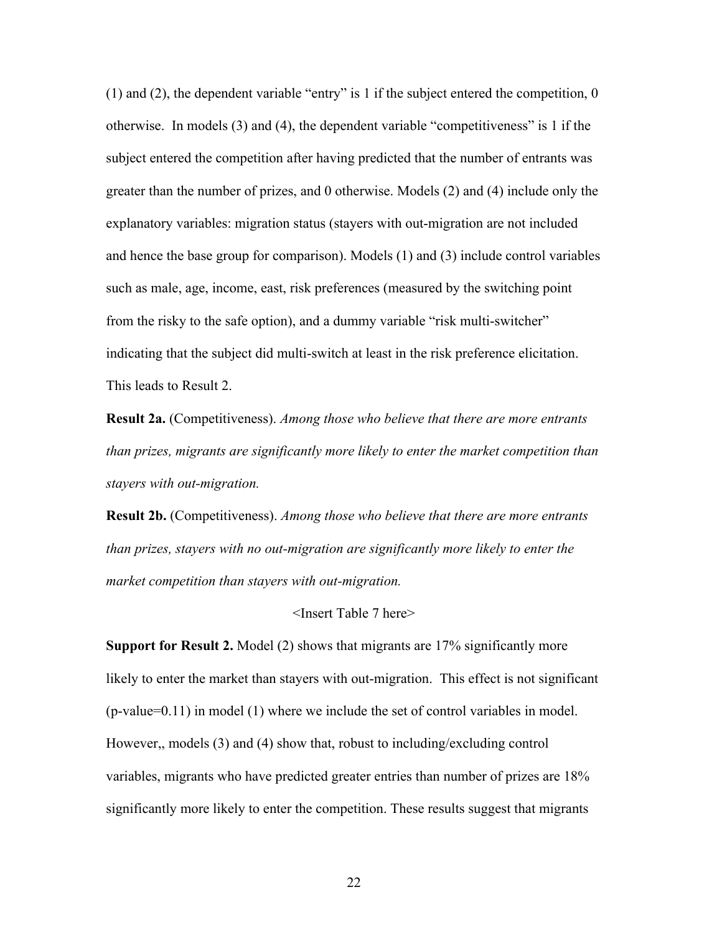(1) and (2), the dependent variable "entry" is 1 if the subject entered the competition, 0 otherwise. In models (3) and (4), the dependent variable "competitiveness" is 1 if the subject entered the competition after having predicted that the number of entrants was greater than the number of prizes, and 0 otherwise. Models (2) and (4) include only the explanatory variables: migration status (stayers with out-migration are not included and hence the base group for comparison). Models (1) and (3) include control variables such as male, age, income, east, risk preferences (measured by the switching point from the risky to the safe option), and a dummy variable "risk multi-switcher" indicating that the subject did multi-switch at least in the risk preference elicitation. This leads to Result 2.

**Result 2a.** (Competitiveness). *Among those who believe that there are more entrants than prizes, migrants are significantly more likely to enter the market competition than stayers with out-migration.* 

**Result 2b.** (Competitiveness). *Among those who believe that there are more entrants than prizes, stayers with no out-migration are significantly more likely to enter the market competition than stayers with out-migration.*

#### <Insert Table 7 here>

**Support for Result 2.** Model (2) shows that migrants are 17% significantly more likely to enter the market than stayers with out-migration. This effect is not significant (p-value=0.11) in model (1) where we include the set of control variables in model. However,, models (3) and (4) show that, robust to including/excluding control variables, migrants who have predicted greater entries than number of prizes are 18% significantly more likely to enter the competition. These results suggest that migrants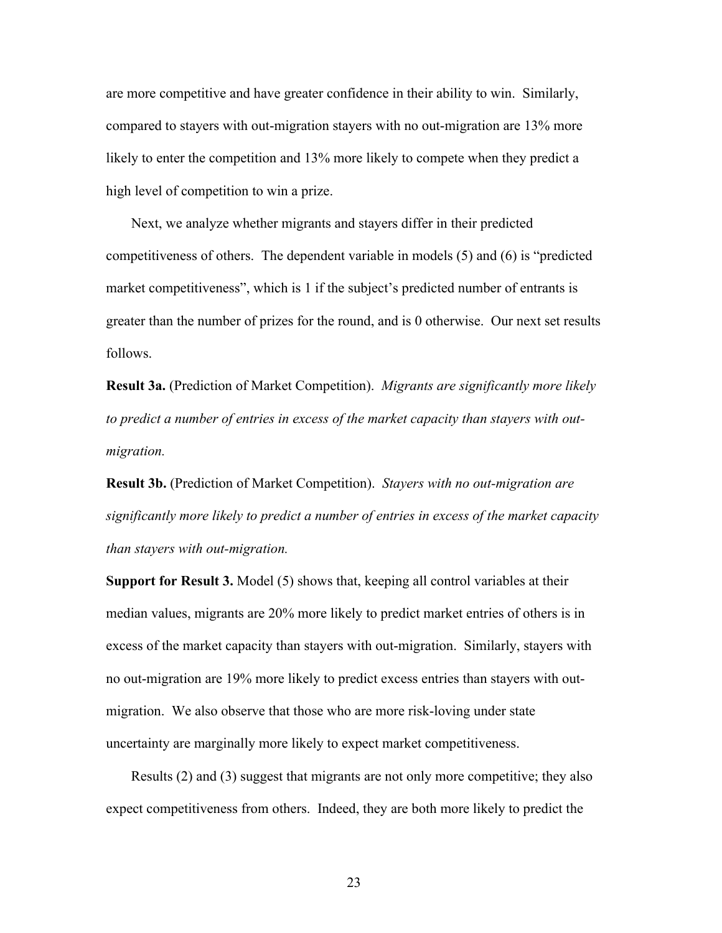are more competitive and have greater confidence in their ability to win. Similarly, compared to stayers with out-migration stayers with no out-migration are 13% more likely to enter the competition and 13% more likely to compete when they predict a high level of competition to win a prize.

Next, we analyze whether migrants and stayers differ in their predicted competitiveness of others. The dependent variable in models (5) and (6) is "predicted market competitiveness", which is 1 if the subject's predicted number of entrants is greater than the number of prizes for the round, and is 0 otherwise. Our next set results follows.

**Result 3a.** (Prediction of Market Competition). *Migrants are significantly more likely to predict a number of entries in excess of the market capacity than stayers with outmigration.* 

**Result 3b.** (Prediction of Market Competition). *Stayers with no out-migration are significantly more likely to predict a number of entries in excess of the market capacity than stayers with out-migration.* 

**Support for Result 3.** Model (5) shows that, keeping all control variables at their median values, migrants are 20% more likely to predict market entries of others is in excess of the market capacity than stayers with out-migration. Similarly, stayers with no out-migration are 19% more likely to predict excess entries than stayers with outmigration. We also observe that those who are more risk-loving under state uncertainty are marginally more likely to expect market competitiveness.

Results (2) and (3) suggest that migrants are not only more competitive; they also expect competitiveness from others. Indeed, they are both more likely to predict the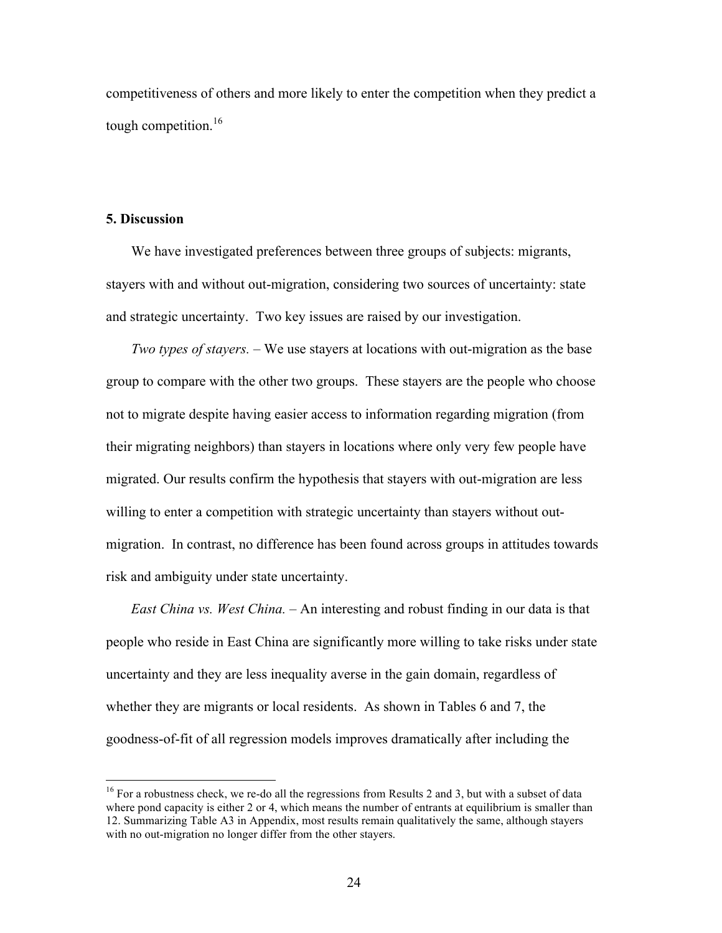competitiveness of others and more likely to enter the competition when they predict a tough competition.<sup>16</sup>

#### **5. Discussion**

We have investigated preferences between three groups of subjects: migrants, stayers with and without out-migration, considering two sources of uncertainty: state and strategic uncertainty. Two key issues are raised by our investigation.

*Two types of stayers.* – We use stayers at locations with out-migration as the base group to compare with the other two groups. These stayers are the people who choose not to migrate despite having easier access to information regarding migration (from their migrating neighbors) than stayers in locations where only very few people have migrated. Our results confirm the hypothesis that stayers with out-migration are less willing to enter a competition with strategic uncertainty than stayers without outmigration. In contrast, no difference has been found across groups in attitudes towards risk and ambiguity under state uncertainty.

*East China vs. West China.* – An interesting and robust finding in our data is that people who reside in East China are significantly more willing to take risks under state uncertainty and they are less inequality averse in the gain domain, regardless of whether they are migrants or local residents. As shown in Tables 6 and 7, the goodness-of-fit of all regression models improves dramatically after including the

 $16$  For a robustness check, we re-do all the regressions from Results 2 and 3, but with a subset of data where pond capacity is either 2 or 4, which means the number of entrants at equilibrium is smaller than 12. Summarizing Table A3 in Appendix, most results remain qualitatively the same, although stayers with no out-migration no longer differ from the other stayers.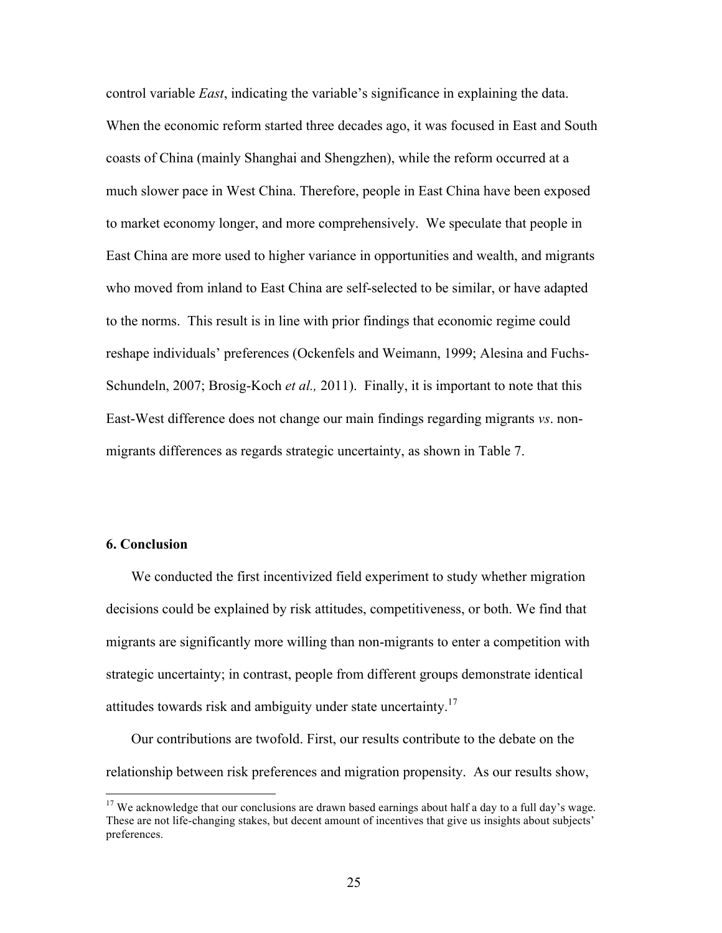control variable *East*, indicating the variable's significance in explaining the data. When the economic reform started three decades ago, it was focused in East and South coasts of China (mainly Shanghai and Shengzhen), while the reform occurred at a much slower pace in West China. Therefore, people in East China have been exposed to market economy longer, and more comprehensively. We speculate that people in East China are more used to higher variance in opportunities and wealth, and migrants who moved from inland to East China are self-selected to be similar, or have adapted to the norms. This result is in line with prior findings that economic regime could reshape individuals' preferences (Ockenfels and Weimann, 1999; Alesina and Fuchs-Schundeln, 2007; Brosig-Koch *et al.,* 2011). Finally, it is important to note that this East-West difference does not change our main findings regarding migrants *vs*. nonmigrants differences as regards strategic uncertainty, as shown in Table 7.

### **6. Conclusion**

We conducted the first incentivized field experiment to study whether migration decisions could be explained by risk attitudes, competitiveness, or both. We find that migrants are significantly more willing than non-migrants to enter a competition with strategic uncertainty; in contrast, people from different groups demonstrate identical attitudes towards risk and ambiguity under state uncertainty.<sup>17</sup>

Our contributions are twofold. First, our results contribute to the debate on the relationship between risk preferences and migration propensity. As our results show,

<sup>&</sup>lt;sup>17</sup> We acknowledge that our conclusions are drawn based earnings about half a day to a full day's wage. These are not life-changing stakes, but decent amount of incentives that give us insights about subjects' preferences.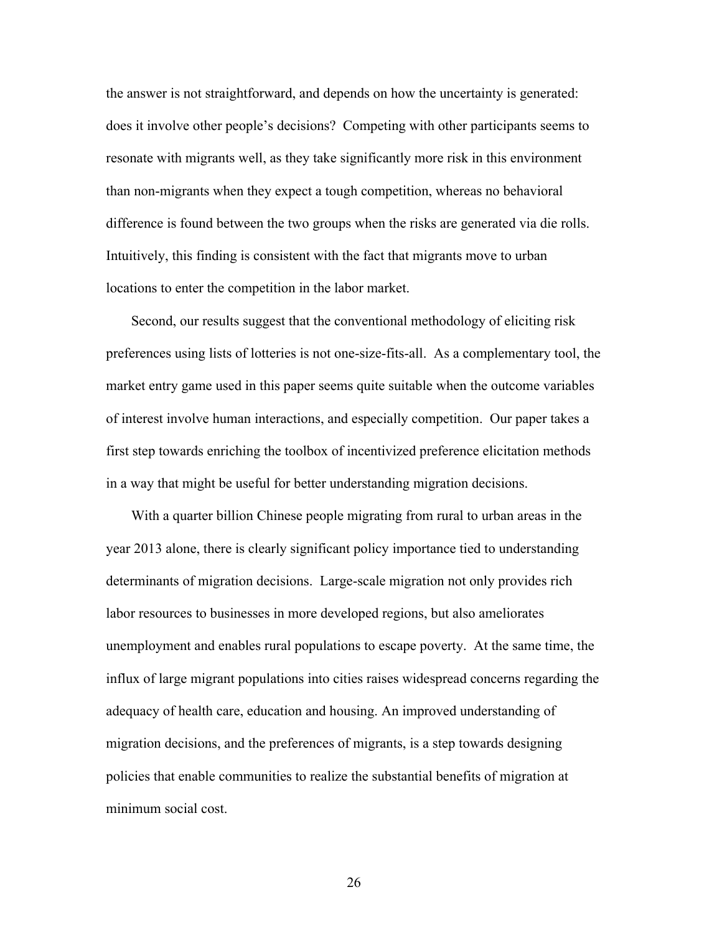the answer is not straightforward, and depends on how the uncertainty is generated: does it involve other people's decisions? Competing with other participants seems to resonate with migrants well, as they take significantly more risk in this environment than non-migrants when they expect a tough competition, whereas no behavioral difference is found between the two groups when the risks are generated via die rolls. Intuitively, this finding is consistent with the fact that migrants move to urban locations to enter the competition in the labor market.

Second, our results suggest that the conventional methodology of eliciting risk preferences using lists of lotteries is not one-size-fits-all. As a complementary tool, the market entry game used in this paper seems quite suitable when the outcome variables of interest involve human interactions, and especially competition. Our paper takes a first step towards enriching the toolbox of incentivized preference elicitation methods in a way that might be useful for better understanding migration decisions.

With a quarter billion Chinese people migrating from rural to urban areas in the year 2013 alone, there is clearly significant policy importance tied to understanding determinants of migration decisions. Large-scale migration not only provides rich labor resources to businesses in more developed regions, but also ameliorates unemployment and enables rural populations to escape poverty. At the same time, the influx of large migrant populations into cities raises widespread concerns regarding the adequacy of health care, education and housing. An improved understanding of migration decisions, and the preferences of migrants, is a step towards designing policies that enable communities to realize the substantial benefits of migration at minimum social cost.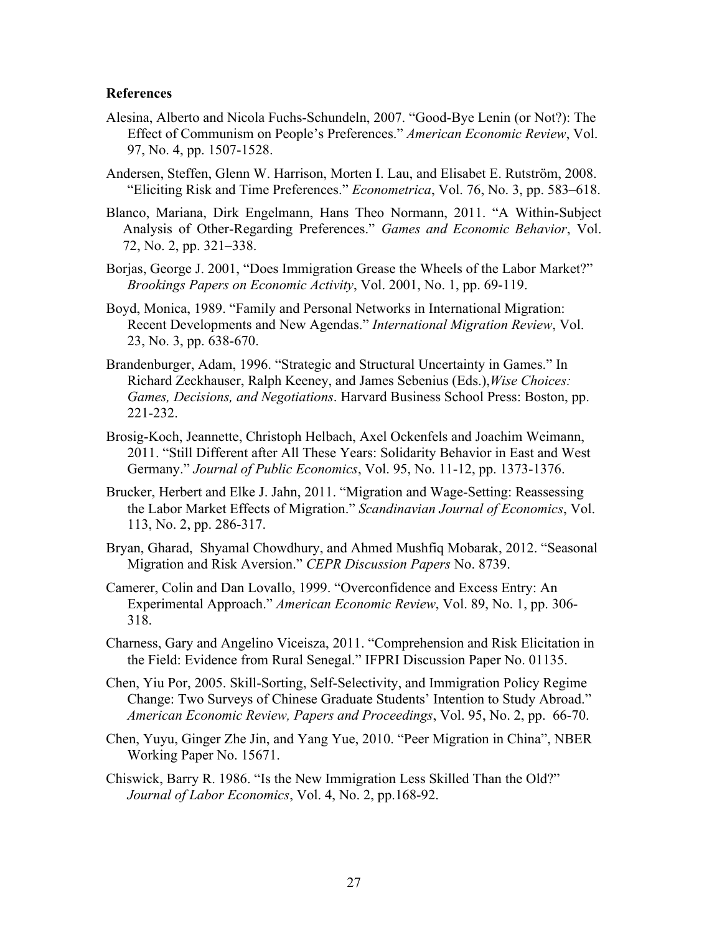#### **References**

- Alesina, Alberto and Nicola Fuchs-Schundeln, 2007. "Good-Bye Lenin (or Not?): The Effect of Communism on People's Preferences." *American Economic Review*, Vol. 97, No. 4, pp. 1507-1528.
- Andersen, Steffen, Glenn W. Harrison, Morten I. Lau, and Elisabet E. Rutström, 2008. "Eliciting Risk and Time Preferences." *Econometrica*, Vol. 76, No. 3, pp. 583–618.
- Blanco, Mariana, Dirk Engelmann, Hans Theo Normann, 2011. "A Within-Subject Analysis of Other-Regarding Preferences." *Games and Economic Behavior*, Vol. 72, No. 2, pp. 321–338.
- Borjas, George J. 2001, "Does Immigration Grease the Wheels of the Labor Market?" *Brookings Papers on Economic Activity*, Vol. 2001, No. 1, pp. 69-119.
- Boyd, Monica, 1989. "Family and Personal Networks in International Migration: Recent Developments and New Agendas." *International Migration Review*, Vol. 23, No. 3, pp. 638-670.
- Brandenburger, Adam, 1996. "Strategic and Structural Uncertainty in Games." In Richard Zeckhauser, Ralph Keeney, and James Sebenius (Eds.),*Wise Choices: Games, Decisions, and Negotiations*. Harvard Business School Press: Boston, pp. 221-232.
- Brosig-Koch, Jeannette, Christoph Helbach, Axel Ockenfels and Joachim Weimann, 2011. "Still Different after All These Years: Solidarity Behavior in East and West Germany." *Journal of Public Economics*, Vol. 95, No. 11-12, pp. 1373-1376.
- Brucker, Herbert and Elke J. Jahn, 2011. "Migration and Wage-Setting: Reassessing the Labor Market Effects of Migration." *Scandinavian Journal of Economics*, Vol. 113, No. 2, pp. 286-317.
- Bryan, Gharad, Shyamal Chowdhury, and Ahmed Mushfiq Mobarak, 2012. "Seasonal Migration and Risk Aversion." *CEPR Discussion Papers* No. 8739.
- Camerer, Colin and Dan Lovallo, 1999. "Overconfidence and Excess Entry: An Experimental Approach." *American Economic Review*, Vol. 89, No. 1, pp. 306- 318.
- Charness, Gary and Angelino Viceisza, 2011. "Comprehension and Risk Elicitation in the Field: Evidence from Rural Senegal." IFPRI Discussion Paper No. 01135.
- Chen, Yiu Por, 2005. Skill-Sorting, Self-Selectivity, and Immigration Policy Regime Change: Two Surveys of Chinese Graduate Students' Intention to Study Abroad." *American Economic Review, Papers and Proceedings*, Vol. 95, No. 2, pp. 66-70.
- Chen, Yuyu, Ginger Zhe Jin, and Yang Yue, 2010. "Peer Migration in China", NBER Working Paper No. 15671.
- Chiswick, Barry R. 1986. "Is the New Immigration Less Skilled Than the Old?" *Journal of Labor Economics*, Vol. 4, No. 2, pp.168-92.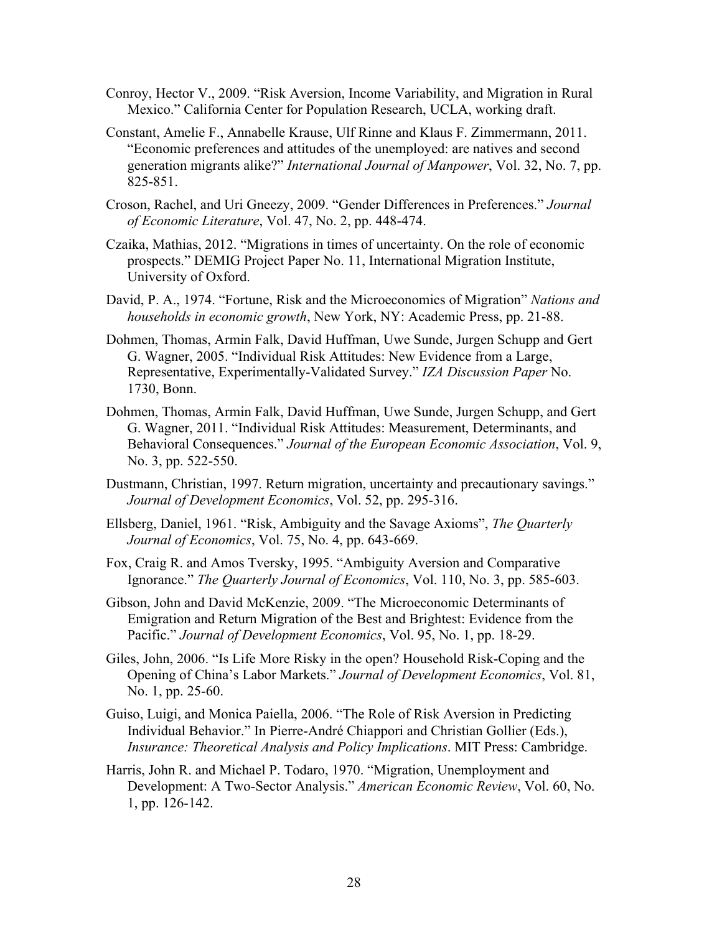- Conroy, Hector V., 2009. "Risk Aversion, Income Variability, and Migration in Rural Mexico." California Center for Population Research, UCLA, working draft.
- Constant, Amelie F., Annabelle Krause, Ulf Rinne and Klaus F. Zimmermann, 2011. "Economic preferences and attitudes of the unemployed: are natives and second generation migrants alike?" *International Journal of Manpower*, Vol. 32, No. 7, pp. 825-851.
- Croson, Rachel, and Uri Gneezy, 2009. "Gender Differences in Preferences." *Journal of Economic Literature*, Vol. 47, No. 2, pp. 448-474.
- Czaika, Mathias, 2012. "Migrations in times of uncertainty. On the role of economic prospects." DEMIG Project Paper No. 11, International Migration Institute, University of Oxford.
- David, P. A., 1974. "Fortune, Risk and the Microeconomics of Migration" *Nations and households in economic growth*, New York, NY: Academic Press, pp. 21-88.
- Dohmen, Thomas, Armin Falk, David Huffman, Uwe Sunde, Jurgen Schupp and Gert G. Wagner, 2005. "Individual Risk Attitudes: New Evidence from a Large, Representative, Experimentally-Validated Survey." *IZA Discussion Paper* No. 1730, Bonn.
- Dohmen, Thomas, Armin Falk, David Huffman, Uwe Sunde, Jurgen Schupp, and Gert G. Wagner, 2011. "Individual Risk Attitudes: Measurement, Determinants, and Behavioral Consequences." *Journal of the European Economic Association*, Vol. 9, No. 3, pp. 522-550.
- Dustmann, Christian, 1997. Return migration, uncertainty and precautionary savings." *Journal of Development Economics*, Vol. 52, pp. 295-316.
- Ellsberg, Daniel, 1961. "Risk, Ambiguity and the Savage Axioms", *The Quarterly Journal of Economics*, Vol. 75, No. 4, pp. 643-669.
- Fox, Craig R. and Amos Tversky, 1995. "Ambiguity Aversion and Comparative Ignorance." *The Quarterly Journal of Economics*, Vol. 110, No. 3, pp. 585-603.
- Gibson, John and David McKenzie, 2009. "The Microeconomic Determinants of Emigration and Return Migration of the Best and Brightest: Evidence from the Pacific." *Journal of Development Economics*, Vol. 95, No. 1, pp. 18-29.
- Giles, John, 2006. "Is Life More Risky in the open? Household Risk-Coping and the Opening of China's Labor Markets." *Journal of Development Economics*, Vol. 81, No. 1, pp. 25-60.
- Guiso, Luigi, and Monica Paiella, 2006. "The Role of Risk Aversion in Predicting Individual Behavior." In Pierre-André Chiappori and Christian Gollier (Eds.), *Insurance: Theoretical Analysis and Policy Implications*. MIT Press: Cambridge.
- Harris, John R. and Michael P. Todaro, 1970. "Migration, Unemployment and Development: A Two-Sector Analysis." *American Economic Review*, Vol. 60, No. 1, pp. 126-142.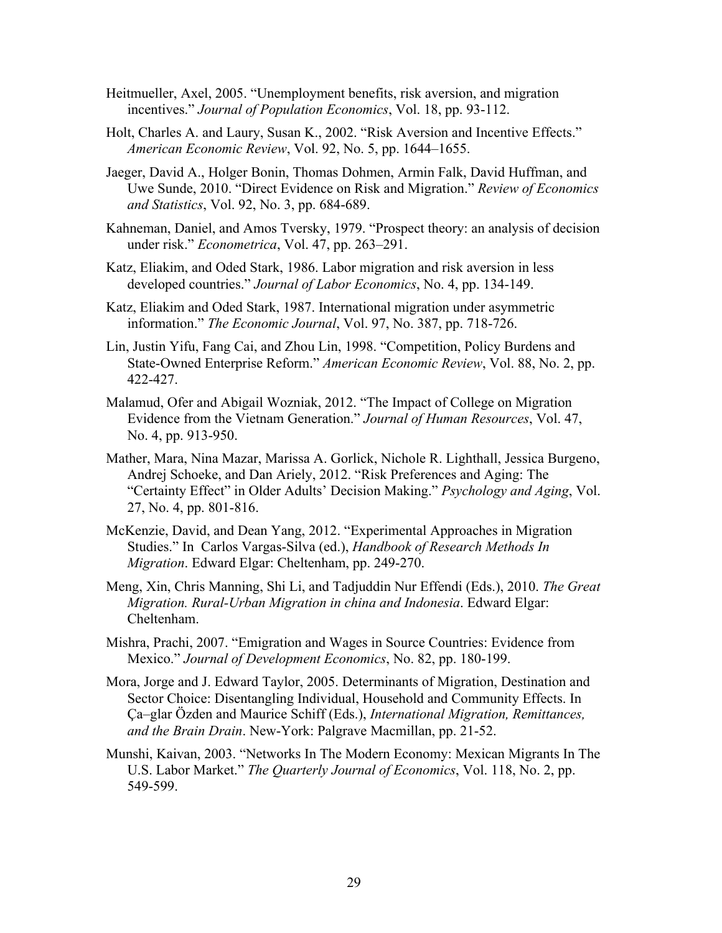- Heitmueller, Axel, 2005. "Unemployment benefits, risk aversion, and migration incentives." *Journal of Population Economics*, Vol. 18, pp. 93-112.
- Holt, Charles A. and Laury, Susan K., 2002. "Risk Aversion and Incentive Effects." *American Economic Review*, Vol. 92, No. 5, pp. 1644–1655.
- Jaeger, David A., Holger Bonin, Thomas Dohmen, Armin Falk, David Huffman, and Uwe Sunde, 2010. "Direct Evidence on Risk and Migration." *Review of Economics and Statistics*, Vol. 92, No. 3, pp. 684-689.
- Kahneman, Daniel, and Amos Tversky, 1979. "Prospect theory: an analysis of decision under risk." *Econometrica*, Vol. 47, pp. 263–291.
- Katz, Eliakim, and Oded Stark, 1986. Labor migration and risk aversion in less developed countries." *Journal of Labor Economics*, No. 4, pp. 134-149.
- Katz, Eliakim and Oded Stark, 1987. International migration under asymmetric information." *The Economic Journal*, Vol. 97, No. 387, pp. 718-726.
- Lin, Justin Yifu, Fang Cai, and Zhou Lin, 1998. "Competition, Policy Burdens and State-Owned Enterprise Reform." *American Economic Review*, Vol. 88, No. 2, pp. 422-427.
- Malamud, Ofer and Abigail Wozniak, 2012. "The Impact of College on Migration Evidence from the Vietnam Generation." *Journal of Human Resources*, Vol. 47, No. 4, pp. 913-950.
- Mather, Mara, Nina Mazar, Marissa A. Gorlick, Nichole R. Lighthall, Jessica Burgeno, Andrej Schoeke, and Dan Ariely, 2012. "Risk Preferences and Aging: The "Certainty Effect" in Older Adults' Decision Making." *Psychology and Aging*, Vol. 27, No. 4, pp. 801-816.
- McKenzie, David, and Dean Yang, 2012. "Experimental Approaches in Migration Studies." In Carlos Vargas-Silva (ed.), *Handbook of Research Methods In Migration*. Edward Elgar: Cheltenham, pp. 249-270.
- Meng, Xin, Chris Manning, Shi Li, and Tadjuddin Nur Effendi (Eds.), 2010. *The Great Migration. Rural-Urban Migration in china and Indonesia*. Edward Elgar: Cheltenham.
- Mishra, Prachi, 2007. "Emigration and Wages in Source Countries: Evidence from Mexico." *Journal of Development Economics*, No. 82, pp. 180-199.
- Mora, Jorge and J. Edward Taylor, 2005. Determinants of Migration, Destination and Sector Choice: Disentangling Individual, Household and Community Effects. In Ça–glar Özden and Maurice Schiff (Eds.), *International Migration, Remittances, and the Brain Drain*. New-York: Palgrave Macmillan, pp. 21-52.
- Munshi, Kaivan, 2003. "Networks In The Modern Economy: Mexican Migrants In The U.S. Labor Market." *The Quarterly Journal of Economics*, Vol. 118, No. 2, pp. 549-599.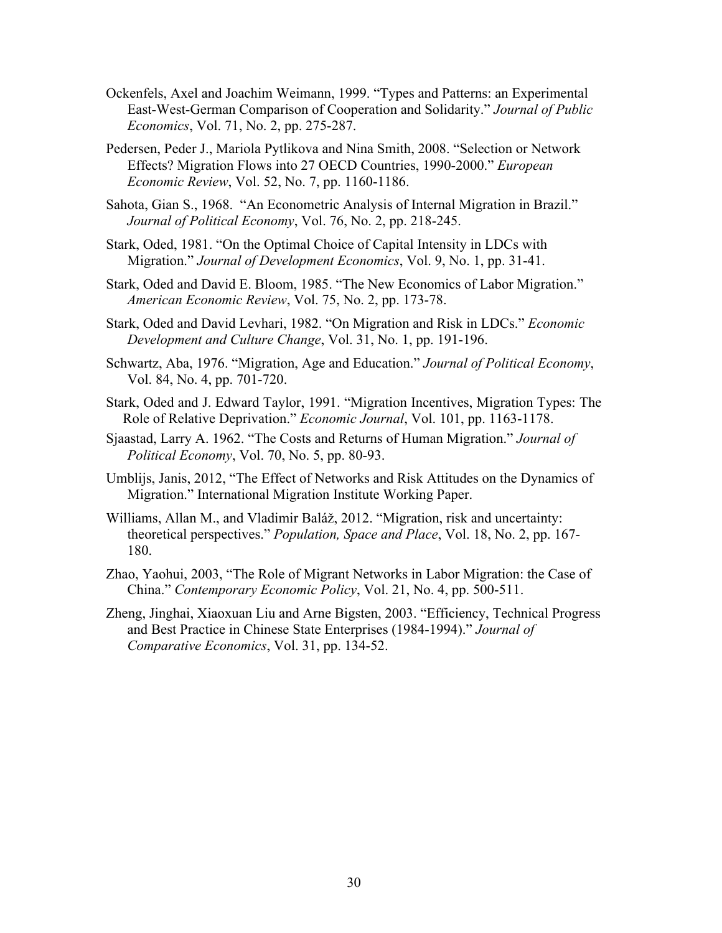- Ockenfels, Axel and Joachim Weimann, 1999. "Types and Patterns: an Experimental East-West-German Comparison of Cooperation and Solidarity." *Journal of Public Economics*, Vol. 71, No. 2, pp. 275-287.
- Pedersen, Peder J., Mariola Pytlikova and Nina Smith, 2008. "Selection or Network Effects? Migration Flows into 27 OECD Countries, 1990-2000." *European Economic Review*, Vol. 52, No. 7, pp. 1160-1186.
- Sahota, Gian S., 1968. "An Econometric Analysis of Internal Migration in Brazil." *Journal of Political Economy*, Vol. 76, No. 2, pp. 218-245.
- Stark, Oded, 1981. "On the Optimal Choice of Capital Intensity in LDCs with Migration." *Journal of Development Economics*, Vol. 9, No. 1, pp. 31-41.
- Stark, Oded and David E. Bloom, 1985. "The New Economics of Labor Migration." *American Economic Review*, Vol. 75, No. 2, pp. 173-78.
- Stark, Oded and David Levhari, 1982. "On Migration and Risk in LDCs." *Economic Development and Culture Change*, Vol. 31, No. 1, pp. 191-196.
- Schwartz, Aba, 1976. "Migration, Age and Education." *Journal of Political Economy*, Vol. 84, No. 4, pp. 701-720.
- Stark, Oded and J. Edward Taylor, 1991. "Migration Incentives, Migration Types: The Role of Relative Deprivation." *Economic Journal*, Vol. 101, pp. 1163-1178.
- Sjaastad, Larry A. 1962. "The Costs and Returns of Human Migration." *Journal of Political Economy*, Vol. 70, No. 5, pp. 80-93.
- Umblijs, Janis, 2012, "The Effect of Networks and Risk Attitudes on the Dynamics of Migration." International Migration Institute Working Paper.
- Williams, Allan M., and Vladimir Baláž, 2012. "Migration, risk and uncertainty: theoretical perspectives." *Population, Space and Place*, Vol. 18, No. 2, pp. 167- 180.
- Zhao, Yaohui, 2003, "The Role of Migrant Networks in Labor Migration: the Case of China." *Contemporary Economic Policy*, Vol. 21, No. 4, pp. 500-511.
- Zheng, Jinghai, Xiaoxuan Liu and Arne Bigsten, 2003. "Efficiency, Technical Progress and Best Practice in Chinese State Enterprises (1984-1994)." *Journal of Comparative Economics*, Vol. 31, pp. 134-52.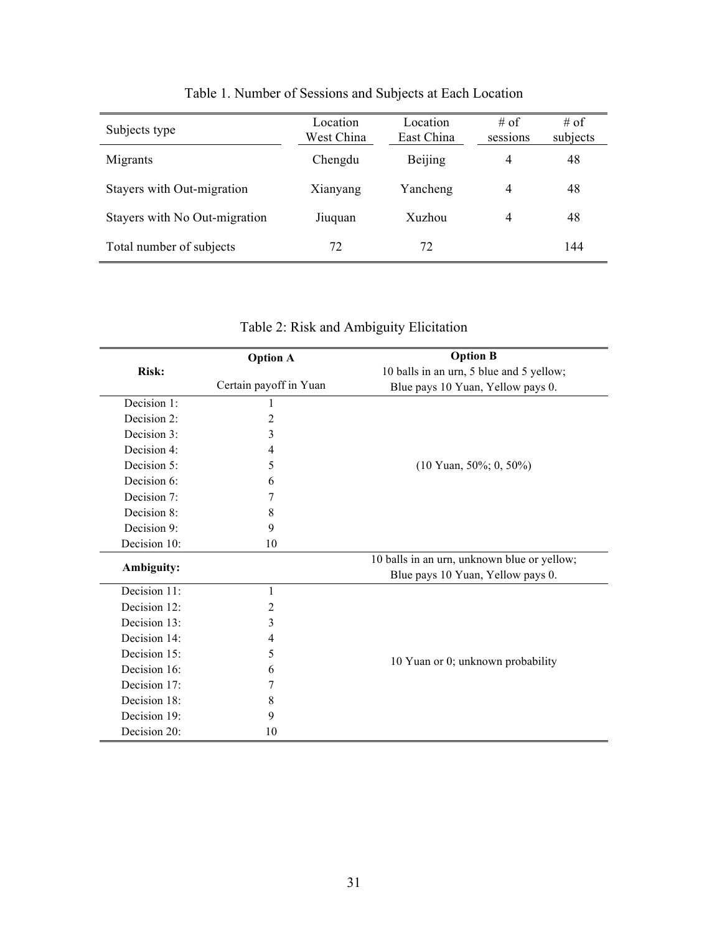| Subjects type                 | Location<br>West China | Location<br>East China | $#$ of<br>sessions | $#$ of<br>subjects |
|-------------------------------|------------------------|------------------------|--------------------|--------------------|
| Migrants                      | Chengdu                | Beijing                | 4                  | 48                 |
| Stayers with Out-migration    | Xianyang               | Yancheng               | 4                  | 48                 |
| Stayers with No Out-migration | Jiuquan                | Xuzhou                 | 4                  | 48                 |
| Total number of subjects      | 72                     | 72                     |                    | 144                |

Table 1. Number of Sessions and Subjects at Each Location

Table 2: Risk and Ambiguity Elicitation

|              | <b>Option A</b>        | <b>Option B</b>                             |
|--------------|------------------------|---------------------------------------------|
| <b>Risk:</b> |                        | 10 balls in an urn, 5 blue and 5 yellow;    |
|              | Certain payoff in Yuan | Blue pays 10 Yuan, Yellow pays 0.           |
| Decision 1:  |                        |                                             |
| Decision 2:  | 2                      |                                             |
| Decision 3:  | 3                      |                                             |
| Decision 4:  | 4                      |                                             |
| Decision 5:  | 5                      | $(10 \text{ Yuan}, 50\%; 0, 50\%)$          |
| Decision 6:  | 6                      |                                             |
| Decision 7:  | 7                      |                                             |
| Decision 8:  | 8                      |                                             |
| Decision 9:  | 9                      |                                             |
| Decision 10: | 10                     |                                             |
| Ambiguity:   |                        | 10 balls in an urn, unknown blue or yellow; |
|              |                        | Blue pays 10 Yuan, Yellow pays 0.           |
| Decision 11: | 1                      |                                             |
| Decision 12: | 2                      |                                             |
| Decision 13: | 3                      |                                             |
| Decision 14: | 4                      |                                             |
| Decision 15: | 5                      |                                             |
| Decision 16: | 6                      | 10 Yuan or 0; unknown probability           |
| Decision 17: | 7                      |                                             |
| Decision 18: | 8                      |                                             |
| Decision 19: | 9                      |                                             |
| Decision 20: | 10                     |                                             |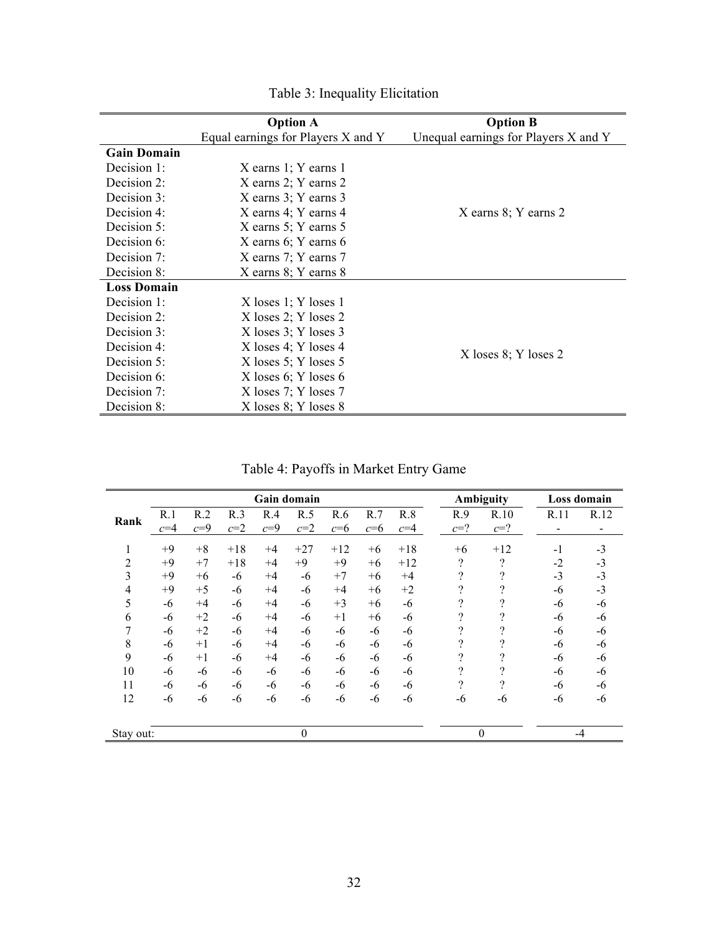|                    | <b>Option A</b>                    | <b>Option B</b>                      |
|--------------------|------------------------------------|--------------------------------------|
|                    | Equal earnings for Players X and Y | Unequal earnings for Players X and Y |
| <b>Gain Domain</b> |                                    |                                      |
| Decision 1:        | X earns 1; Y earns 1               |                                      |
| Decision 2:        | X earns 2; Y earns 2               |                                      |
| Decision 3:        | X earns 3; Y earns 3               |                                      |
| Decision $4$ :     | X earns 4; Y earns 4               | X earns 8; Y earns 2                 |
| Decision 5:        | X earns 5; Y earns 5               |                                      |
| Decision 6:        | $X$ earns 6; Y earns 6             |                                      |
| Decision 7:        | X earns 7; Y earns 7               |                                      |
| Decision 8:        | X earns 8; Y earns 8               |                                      |
| <b>Loss Domain</b> |                                    |                                      |
| Decision 1:        | $X$ loses 1; Y loses 1             |                                      |
| Decision 2:        | $X$ loses 2; Y loses 2             |                                      |
| Decision 3:        | $X$ loses 3; Y loses 3             |                                      |
| Decision 4:        | $X$ loses 4; Y loses 4             |                                      |
| Decision 5:        | $X$ loses 5; Y loses 5             | $X$ loses 8; Y loses 2               |
| Decision 6:        | X loses $6$ ; Y loses $6$          |                                      |
| Decision 7:        | $X$ loses 7; Y loses 7             |                                      |
| Decision 8:        | $X$ loses 8; Y loses 8             |                                      |

Table 4: Payoffs in Market Entry Game

|                |       |       |       |       | Gain domain |       |       |       |       | Ambiguity      |      | Loss domain                  |
|----------------|-------|-------|-------|-------|-------------|-------|-------|-------|-------|----------------|------|------------------------------|
| Rank           | R.1   | R.2   | R.3   | R.4   | R.5         | R.6   | R.7   | R.8   | R.9   | R.10           | R.11 | R.12                         |
|                | $c=4$ | $c=9$ | $c=2$ | $c=9$ | $c=2$       | $c=6$ | $c=6$ | $c=4$ | $c=?$ | $c=?$          |      | $\qquad \qquad \blacksquare$ |
| 1              | $+9$  | $+8$  | $+18$ | $+4$  | $+27$       | $+12$ | $+6$  | $+18$ | $+6$  | $+12$          | $-1$ | $-3$                         |
| $\overline{2}$ | $+9$  | $+7$  | $+18$ | $+4$  | $+9$        | $+9$  | $+6$  | $+12$ | ?     | 9              | $-2$ | $-3$                         |
| 3              | $+9$  | $+6$  | -6    | $+4$  | -6          | $+7$  | $+6$  | $+4$  | ?     | 9              | $-3$ | $-3$                         |
| 4              | $+9$  | $+5$  | -6    | $+4$  | -6          | $+4$  | $+6$  | $+2$  | ?     | 9              | -6   | $-3$                         |
| 5              | -6    | $+4$  | -6    | $+4$  | -6          | $+3$  | $+6$  | $-6$  | ?     | 9              | -6   | -6                           |
| 6              | -6    | $+2$  | -6    | $+4$  | -6          | $+1$  | $+6$  | -6    | 9     | റ              | -6   | -6                           |
| 7              | -6    | $+2$  | -6    | $+4$  | $-6$        | -6    | $-6$  | $-6$  | ?     | າ              | -6   | -6                           |
| 8              | -6    | $+1$  | $-6$  | $+4$  | -6          | $-6$  | $-6$  | $-6$  | ?     | 9              | -6   | -6                           |
| 9              | -6    | $+1$  | -6    | $+4$  | $-6$        | -6    | -6    | -6    | ?     | 9              | -6   | -6                           |
| 10             | -6    | $-6$  | -6    | -6    | $-6$        | -6    | -6    | -6    | ?     | 9              | -6   | -6                           |
| 11             | -6    | $-6$  | -6    | $-6$  | $-6$        | -6    | $-6$  | $-6$  | 9     | 9              | -6   | -6                           |
| 12             | -6    | $-6$  | -6    | -6    | $-6$        | $-6$  | -6    | $-6$  | -6    | $-6$           | $-6$ | -6                           |
| Stay out:      |       |       |       |       | $\theta$    |       |       |       |       | $\overline{0}$ |      | $-4$                         |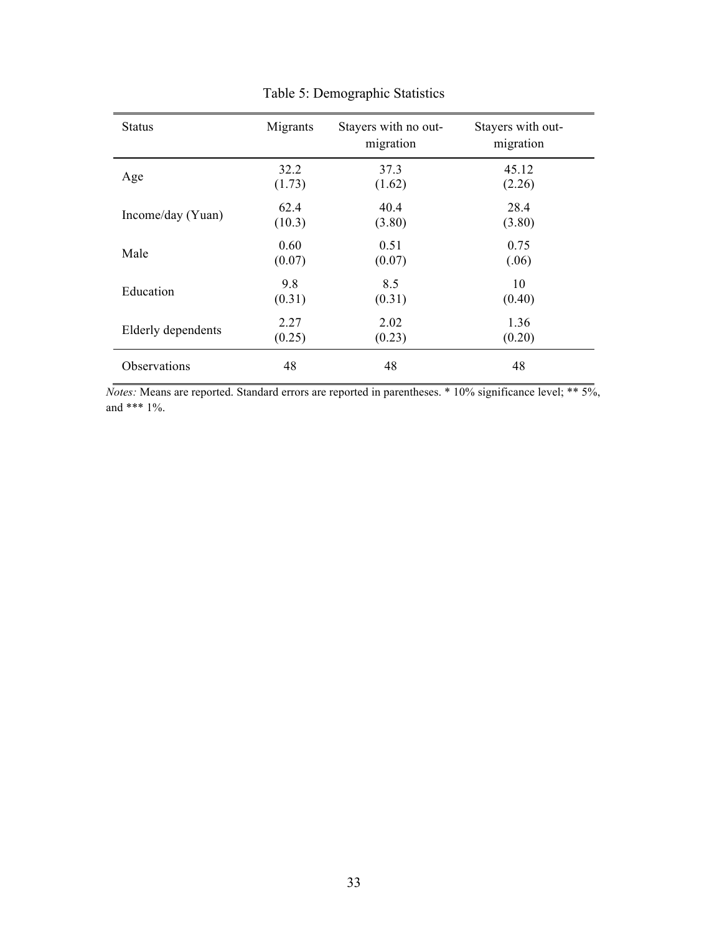| <b>Status</b>      | Migrants | Stayers with no out-<br>migration | Stayers with out-<br>migration |
|--------------------|----------|-----------------------------------|--------------------------------|
| Age                | 32.2     | 37.3                              | 45.12                          |
|                    | (1.73)   | (1.62)                            | (2.26)                         |
| Income/day (Yuan)  | 62.4     | 40.4                              | 28.4                           |
|                    | (10.3)   | (3.80)                            | (3.80)                         |
| Male               | 0.60     | 0.51                              | 0.75                           |
|                    | (0.07)   | (0.07)                            | (.06)                          |
| Education          | 9.8      | 8.5                               | 10                             |
|                    | (0.31)   | (0.31)                            | (0.40)                         |
| Elderly dependents | 2.27     | 2.02                              | 1.36                           |
|                    | (0.25)   | (0.23)                            | (0.20)                         |
| Observations       | 48       | 48                                | 48                             |

Table 5: Demographic Statistics

*Notes:* Means are reported. Standard errors are reported in parentheses. \* 10% significance level; \*\* 5%, and \*\*\* 1%.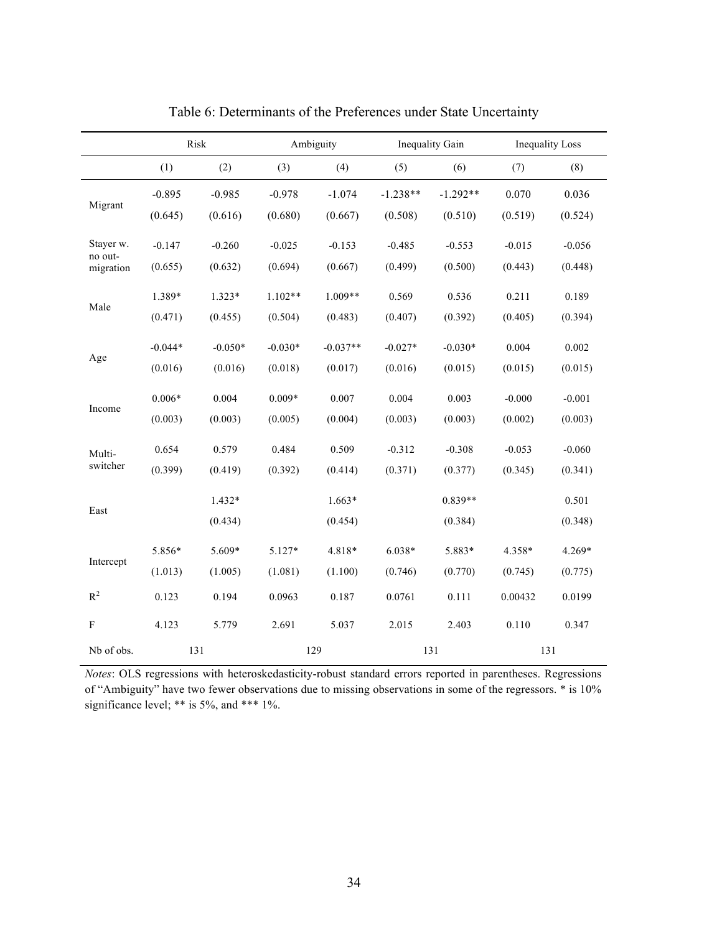|                      |           | Risk      |           | Ambiguity  |            | <b>Inequality Gain</b> |          | <b>Inequality Loss</b> |
|----------------------|-----------|-----------|-----------|------------|------------|------------------------|----------|------------------------|
|                      | (1)       | (2)       | (3)       | (4)        | (5)        | (6)                    | (7)      | (8)                    |
|                      | $-0.895$  | $-0.985$  | $-0.978$  | $-1.074$   | $-1.238**$ | $-1.292**$             | 0.070    | 0.036                  |
| Migrant              | (0.645)   | (0.616)   | (0.680)   | (0.667)    | (0.508)    | (0.510)                | (0.519)  | (0.524)                |
| Stayer w.            | $-0.147$  | $-0.260$  | $-0.025$  | $-0.153$   | $-0.485$   | $-0.553$               | $-0.015$ | $-0.056$               |
| no out-<br>migration | (0.655)   | (0.632)   | (0.694)   | (0.667)    | (0.499)    | (0.500)                | (0.443)  | (0.448)                |
|                      | 1.389*    | $1.323*$  | $1.102**$ | $1.009**$  | 0.569      | 0.536                  | 0.211    | 0.189                  |
| Male                 | (0.471)   | (0.455)   | (0.504)   | (0.483)    | (0.407)    | (0.392)                | (0.405)  | (0.394)                |
|                      | $-0.044*$ | $-0.050*$ | $-0.030*$ | $-0.037**$ | $-0.027*$  | $-0.030*$              | 0.004    | 0.002                  |
| Age                  | (0.016)   | (0.016)   | (0.018)   | (0.017)    | (0.016)    | (0.015)                | (0.015)  | (0.015)                |
|                      |           |           |           |            |            |                        |          |                        |
| Income               | $0.006*$  | 0.004     | $0.009*$  | 0.007      | 0.004      | 0.003                  | $-0.000$ | $-0.001$               |
|                      | (0.003)   | (0.003)   | (0.005)   | (0.004)    | (0.003)    | (0.003)                | (0.002)  | (0.003)                |
| Multi-               | 0.654     | 0.579     | 0.484     | 0.509      | $-0.312$   | $-0.308$               | $-0.053$ | $-0.060$               |
| switcher             | (0.399)   | (0.419)   | (0.392)   | (0.414)    | (0.371)    | (0.377)                | (0.345)  | (0.341)                |
|                      |           | $1.432*$  |           | $1.663*$   |            | $0.839**$              |          | 0.501                  |
| East                 |           | (0.434)   |           | (0.454)    |            | (0.384)                |          | (0.348)                |
|                      | 5.856*    | 5.609*    | 5.127*    | 4.818*     | 6.038*     | 5.883*                 | 4.358*   | 4.269*                 |
| Intercept            | (1.013)   | (1.005)   | (1.081)   | (1.100)    | (0.746)    | (0.770)                | (0.745)  | (0.775)                |
| $R^2$                | 0.123     | 0.194     | 0.0963    | 0.187      | 0.0761     | 0.111                  | 0.00432  | 0.0199                 |
| $\rm F$              | 4.123     | 5.779     | 2.691     | 5.037      | 2.015      | 2.403                  | 0.110    | 0.347                  |
| Nb of obs.           |           | 131       |           | 129        |            | 131                    |          | 131                    |

Table 6: Determinants of the Preferences under State Uncertainty

*Notes*: OLS regressions with heteroskedasticity-robust standard errors reported in parentheses. Regressions of "Ambiguity" have two fewer observations due to missing observations in some of the regressors. \* is 10% significance level; \*\* is 5%, and \*\*\* 1%.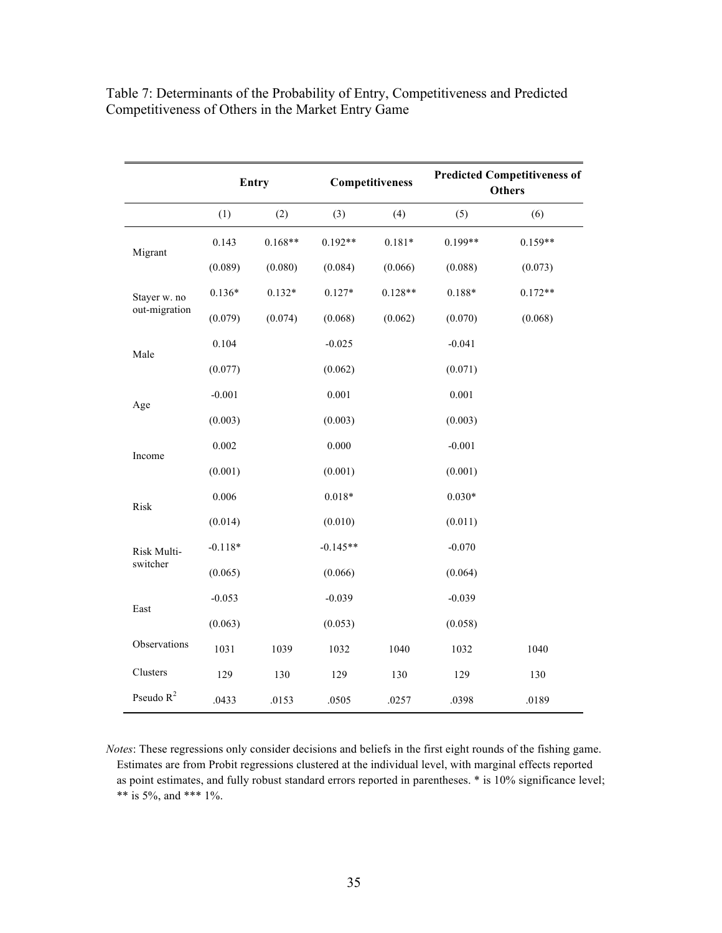|               | <b>Entry</b> |           |            | Competitiveness |           | <b>Predicted Competitiveness of</b><br><b>Others</b> |
|---------------|--------------|-----------|------------|-----------------|-----------|------------------------------------------------------|
|               | (1)          | (2)       | (3)        | (4)             | (5)       | (6)                                                  |
| Migrant       | 0.143        | $0.168**$ | $0.192**$  | $0.181*$        | $0.199**$ | $0.159**$                                            |
|               | (0.089)      | (0.080)   | (0.084)    | (0.066)         | (0.088)   | (0.073)                                              |
| Stayer w. no  | $0.136*$     | $0.132*$  | $0.127*$   | $0.128**$       | $0.188*$  | $0.172**$                                            |
| out-migration | (0.079)      | (0.074)   | (0.068)    | (0.062)         | (0.070)   | (0.068)                                              |
| Male          | 0.104        |           | $-0.025$   |                 | $-0.041$  |                                                      |
|               | (0.077)      |           | (0.062)    |                 | (0.071)   |                                                      |
| Age           | $-0.001$     |           | 0.001      |                 | 0.001     |                                                      |
|               | (0.003)      |           | (0.003)    |                 | (0.003)   |                                                      |
| Income        | 0.002        |           | 0.000      |                 | $-0.001$  |                                                      |
|               | (0.001)      |           | (0.001)    |                 | (0.001)   |                                                      |
| Risk          | 0.006        |           | $0.018*$   |                 | $0.030*$  |                                                      |
|               | (0.014)      |           | (0.010)    |                 | (0.011)   |                                                      |
| Risk Multi-   | $-0.118*$    |           | $-0.145**$ |                 | $-0.070$  |                                                      |
| switcher      | (0.065)      |           | (0.066)    |                 | (0.064)   |                                                      |
| East          | $-0.053$     |           | $-0.039$   |                 | $-0.039$  |                                                      |
|               | (0.063)      |           | (0.053)    |                 | (0.058)   |                                                      |
| Observations  | 1031         | 1039      | 1032       | 1040            | 1032      | 1040                                                 |
| Clusters      | 129          | 130       | 129        | 130             | 129       | 130                                                  |
| Pseudo $R^2$  | .0433        | .0153     | .0505      | .0257           | .0398     | .0189                                                |

Table 7: Determinants of the Probability of Entry, Competitiveness and Predicted Competitiveness of Others in the Market Entry Game

*Notes*: These regressions only consider decisions and beliefs in the first eight rounds of the fishing game. Estimates are from Probit regressions clustered at the individual level, with marginal effects reported as point estimates, and fully robust standard errors reported in parentheses. \* is 10% significance level; \*\* is 5%, and \*\*\*  $1\%$ .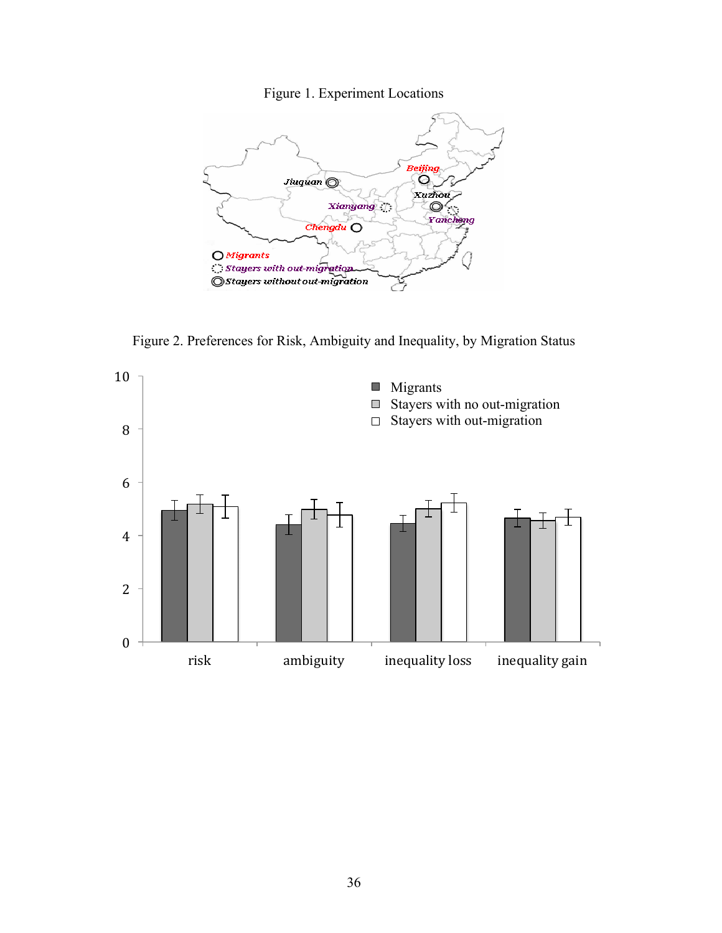

Figure 1. Experiment Locations

Figure 2. Preferences for Risk, Ambiguity and Inequality, by Migration Status

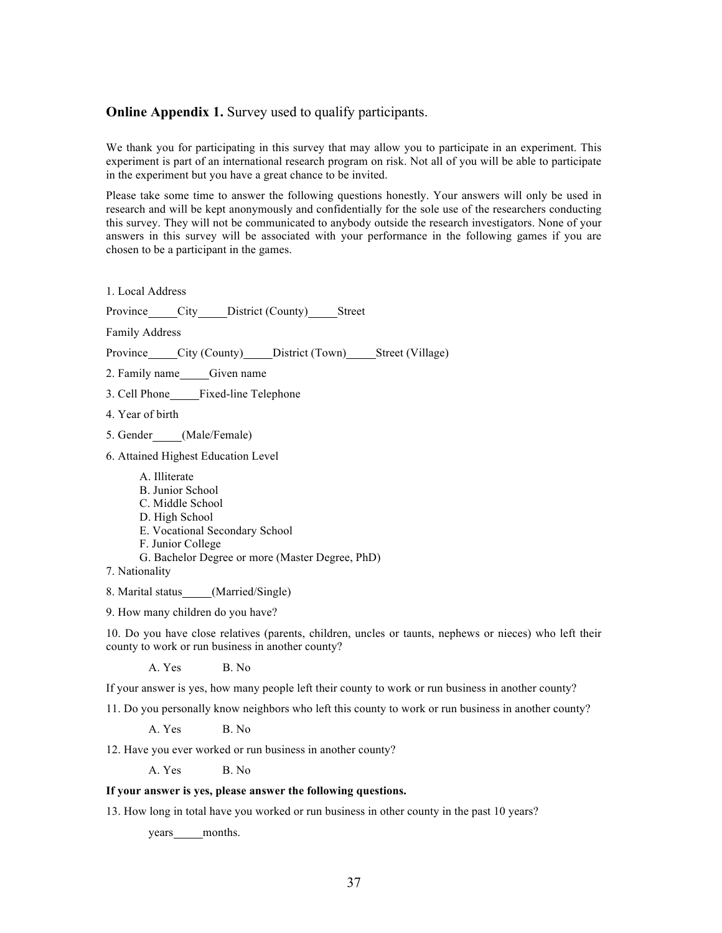#### **Online Appendix 1.** Survey used to qualify participants.

We thank you for participating in this survey that may allow you to participate in an experiment. This experiment is part of an international research program on risk. Not all of you will be able to participate in the experiment but you have a great chance to be invited.

Please take some time to answer the following questions honestly. Your answers will only be used in research and will be kept anonymously and confidentially for the sole use of the researchers conducting this survey. They will not be communicated to anybody outside the research investigators. None of your answers in this survey will be associated with your performance in the following games if you are chosen to be a participant in the games.

1. Local Address

Province City District (County) Street

Family Address

Province City (County) District (Town) Street (Village)

- 2. Family name\_\_\_\_\_Given name
- 3. Cell Phone Fixed-line Telephone
- 4. Year of birth
- 5. Gender (Male/Female)
- 6. Attained Highest Education Level
	- A. Illiterate
	- B. Junior School
	- C. Middle School
	- D. High School
	- E. Vocational Secondary School
	- F. Junior College
		- G. Bachelor Degree or more (Master Degree, PhD)
- 7. Nationality

8. Marital status (Married/Single)

9. How many children do you have?

10. Do you have close relatives (parents, children, uncles or taunts, nephews or nieces) who left their county to work or run business in another county?

A. Yes B. No.

If your answer is yes, how many people left their county to work or run business in another county?

11. Do you personally know neighbors who left this county to work or run business in another county?

A. Yes B. No.

12. Have you ever worked or run business in another county?

A. Yes B. No.

#### **If your answer is yes, please answer the following questions.**

13. How long in total have you worked or run business in other county in the past 10 years?

years\_\_\_\_\_months.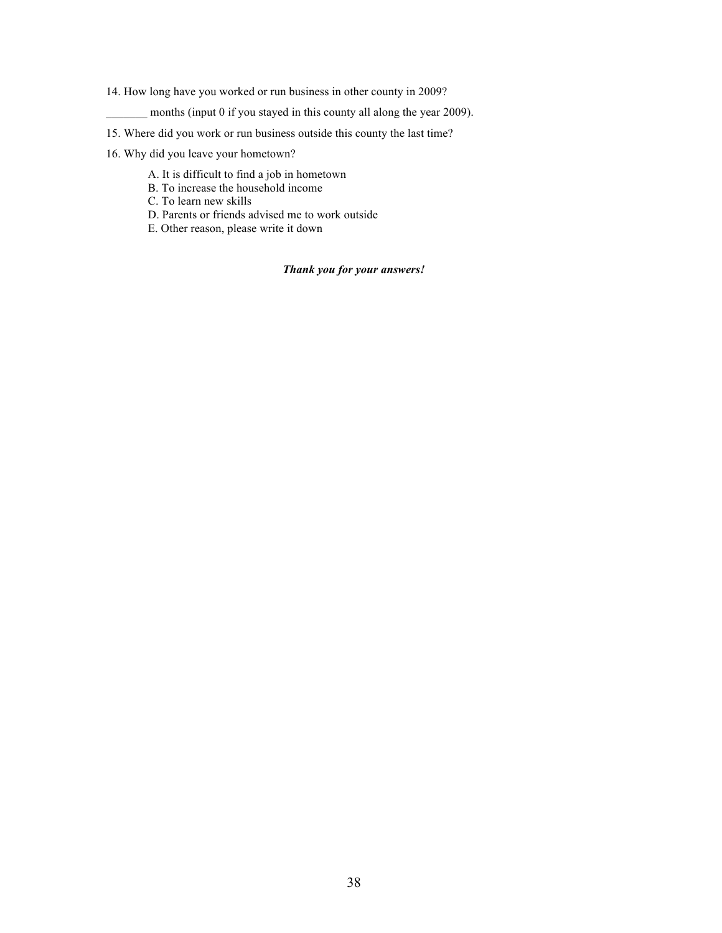14. How long have you worked or run business in other county in 2009?

\_\_\_\_\_\_\_ months (input 0 if you stayed in this county all along the year 2009).

- 15. Where did you work or run business outside this county the last time?
- 16. Why did you leave your hometown?
	- A. It is difficult to find a job in hometown
	- B. To increase the household income
	- C. To learn new skills
	- D. Parents or friends advised me to work outside
	- E. Other reason, please write it down

#### *Thank you for your answers!*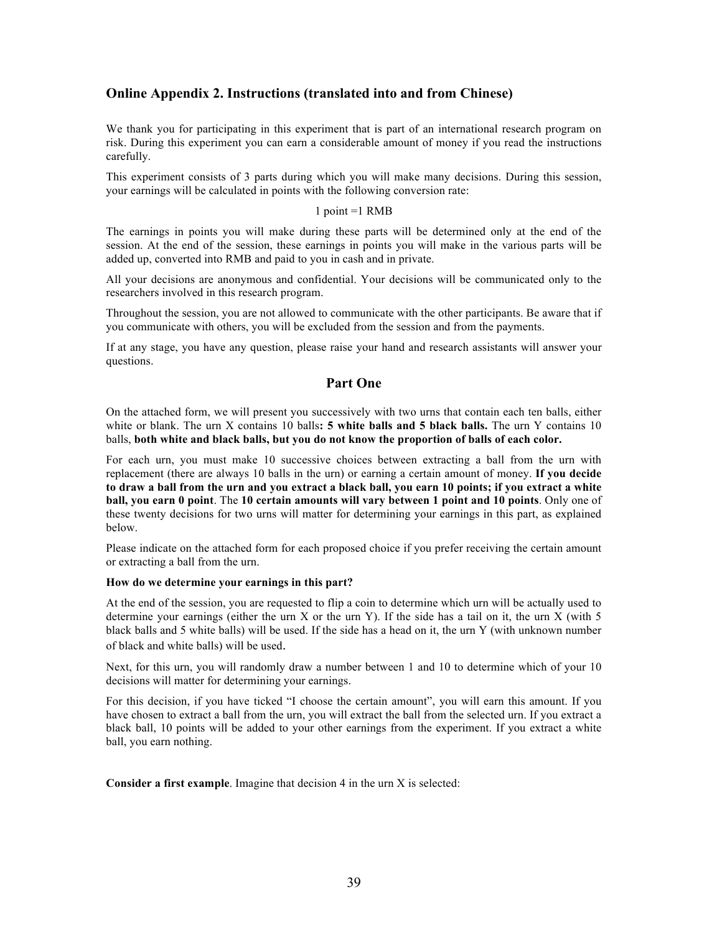### **Online Appendix 2. Instructions (translated into and from Chinese)**

We thank you for participating in this experiment that is part of an international research program on risk. During this experiment you can earn a considerable amount of money if you read the instructions carefully.

This experiment consists of 3 parts during which you will make many decisions. During this session, your earnings will be calculated in points with the following conversion rate:

#### 1 point  $=1$  RMB

The earnings in points you will make during these parts will be determined only at the end of the session. At the end of the session, these earnings in points you will make in the various parts will be added up, converted into RMB and paid to you in cash and in private.

All your decisions are anonymous and confidential. Your decisions will be communicated only to the researchers involved in this research program.

Throughout the session, you are not allowed to communicate with the other participants. Be aware that if you communicate with others, you will be excluded from the session and from the payments.

If at any stage, you have any question, please raise your hand and research assistants will answer your questions.

### **Part One**

On the attached form, we will present you successively with two urns that contain each ten balls, either white or blank. The urn X contains 10 balls**: 5 white balls and 5 black balls.** The urn Y contains 10 balls, **both white and black balls, but you do not know the proportion of balls of each color.** 

For each urn, you must make 10 successive choices between extracting a ball from the urn with replacement (there are always 10 balls in the urn) or earning a certain amount of money. **If you decide to draw a ball from the urn and you extract a black ball, you earn 10 points; if you extract a white ball, you earn 0 point**. The **10 certain amounts will vary between 1 point and 10 points**. Only one of these twenty decisions for two urns will matter for determining your earnings in this part, as explained below.

Please indicate on the attached form for each proposed choice if you prefer receiving the certain amount or extracting a ball from the urn.

#### **How do we determine your earnings in this part?**

At the end of the session, you are requested to flip a coin to determine which urn will be actually used to determine your earnings (either the urn X or the urn Y). If the side has a tail on it, the urn X (with 5 black balls and 5 white balls) will be used. If the side has a head on it, the urn Y (with unknown number of black and white balls) will be used.

Next, for this urn, you will randomly draw a number between 1 and 10 to determine which of your 10 decisions will matter for determining your earnings.

For this decision, if you have ticked "I choose the certain amount", you will earn this amount. If you have chosen to extract a ball from the urn, you will extract the ball from the selected urn. If you extract a black ball, 10 points will be added to your other earnings from the experiment. If you extract a white ball, you earn nothing.

**Consider a first example**. Imagine that decision 4 in the urn X is selected: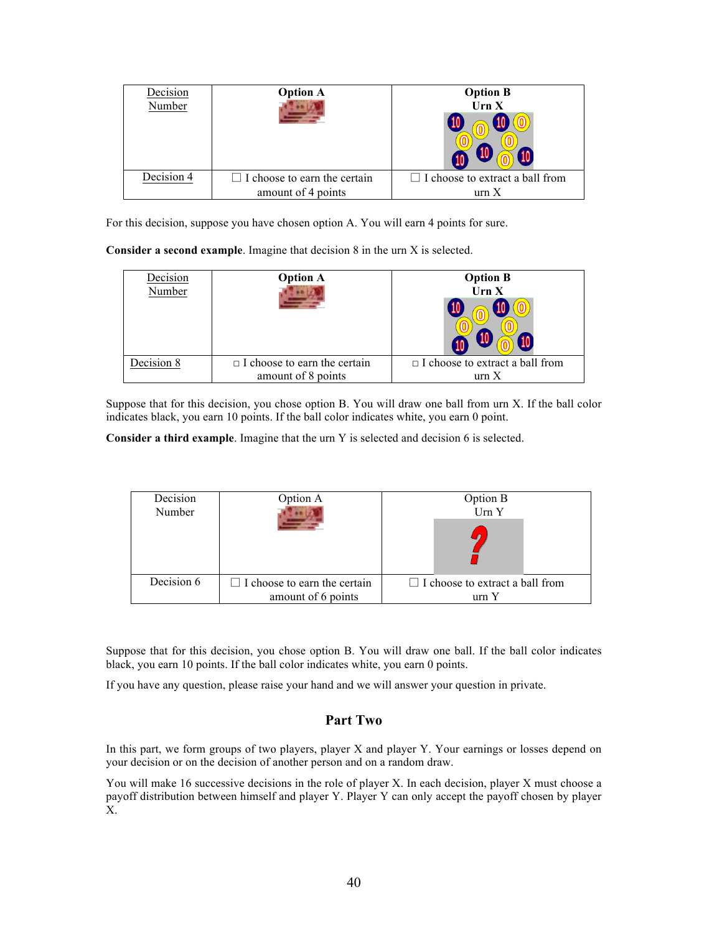| Decision<br>Number | <b>Option A</b>                     | <b>Option B</b><br>Urn $X$             |
|--------------------|-------------------------------------|----------------------------------------|
| Decision 4         | $\Box$ I choose to earn the certain | $\Box$ I choose to extract a ball from |
|                    | amount of 4 points                  | urn X                                  |

For this decision, suppose you have chosen option A. You will earn 4 points for sure.

**Consider a second example**. Imagine that decision 8 in the urn X is selected.

| Decision   | <b>Option A</b>                     | <b>Option B</b>                        |
|------------|-------------------------------------|----------------------------------------|
| Number     |                                     | Urn X                                  |
|            |                                     |                                        |
| Decision 8 | $\Box$ I choose to earn the certain | $\Box$ I choose to extract a ball from |
|            | amount of 8 points                  | urn X                                  |

Suppose that for this decision, you chose option B. You will draw one ball from urn X. If the ball color indicates black, you earn 10 points. If the ball color indicates white, you earn 0 point.

**Consider a third example**. Imagine that the urn Y is selected and decision 6 is selected.

| Decision   | Dption A                            | Option B                               |
|------------|-------------------------------------|----------------------------------------|
| Number     |                                     | Urn Y                                  |
|            |                                     |                                        |
| Decision 6 | $\Box$ I choose to earn the certain | $\Box$ I choose to extract a ball from |
|            | amount of 6 points                  | urn Y                                  |

Suppose that for this decision, you chose option B. You will draw one ball. If the ball color indicates black, you earn 10 points. If the ball color indicates white, you earn 0 points.

If you have any question, please raise your hand and we will answer your question in private.

#### **Part Two**

In this part, we form groups of two players, player X and player Y. Your earnings or losses depend on your decision or on the decision of another person and on a random draw.

You will make 16 successive decisions in the role of player X. In each decision, player X must choose a payoff distribution between himself and player Y. Player Y can only accept the payoff chosen by player  $\rm \tilde{X}$ .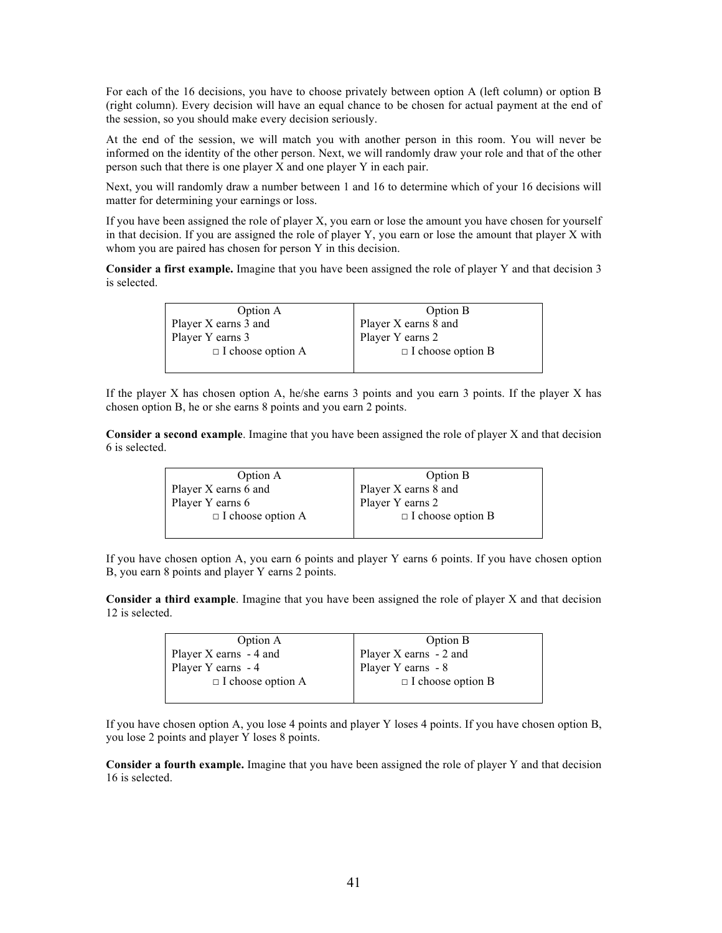For each of the 16 decisions, you have to choose privately between option A (left column) or option B (right column). Every decision will have an equal chance to be chosen for actual payment at the end of the session, so you should make every decision seriously.

At the end of the session, we will match you with another person in this room. You will never be informed on the identity of the other person. Next, we will randomly draw your role and that of the other person such that there is one player X and one player Y in each pair.

Next, you will randomly draw a number between 1 and 16 to determine which of your 16 decisions will matter for determining your earnings or loss.

If you have been assigned the role of player X, you earn or lose the amount you have chosen for yourself in that decision. If you are assigned the role of player Y, you earn or lose the amount that player  $X$  with whom you are paired has chosen for person Y in this decision.

**Consider a first example.** Imagine that you have been assigned the role of player Y and that decision 3 is selected.

| Option A                 | Option B                 |
|--------------------------|--------------------------|
| Player X earns 3 and     | Player X earns 8 and     |
| Player Y earns 3         | Player Y earns 2         |
| $\Box$ I choose option A | $\Box$ I choose option B |
|                          |                          |

If the player X has chosen option A, he/she earns 3 points and you earn 3 points. If the player X has chosen option B, he or she earns 8 points and you earn 2 points.

**Consider a second example**. Imagine that you have been assigned the role of player X and that decision 6 is selected.

| Option A                 | Option B                 |
|--------------------------|--------------------------|
| Player X earns 6 and     | Player X earns 8 and     |
| Player Y earns 6         | Player Y earns 2         |
| $\Box$ I choose option A | $\Box$ I choose option B |
|                          |                          |

If you have chosen option A, you earn 6 points and player Y earns 6 points. If you have chosen option B, you earn 8 points and player Y earns 2 points.

**Consider a third example**. Imagine that you have been assigned the role of player X and that decision 12 is selected.

| Option A                 | Option B                 |
|--------------------------|--------------------------|
| Player X earns - 4 and   | Player X earns - 2 and   |
| Player Y earns - 4       | Player Y earns - 8       |
| $\Box$ I choose option A | $\Box$ I choose option B |
|                          |                          |

If you have chosen option A, you lose 4 points and player Y loses 4 points. If you have chosen option B, you lose 2 points and player Y loses 8 points.

**Consider a fourth example.** Imagine that you have been assigned the role of player Y and that decision 16 is selected.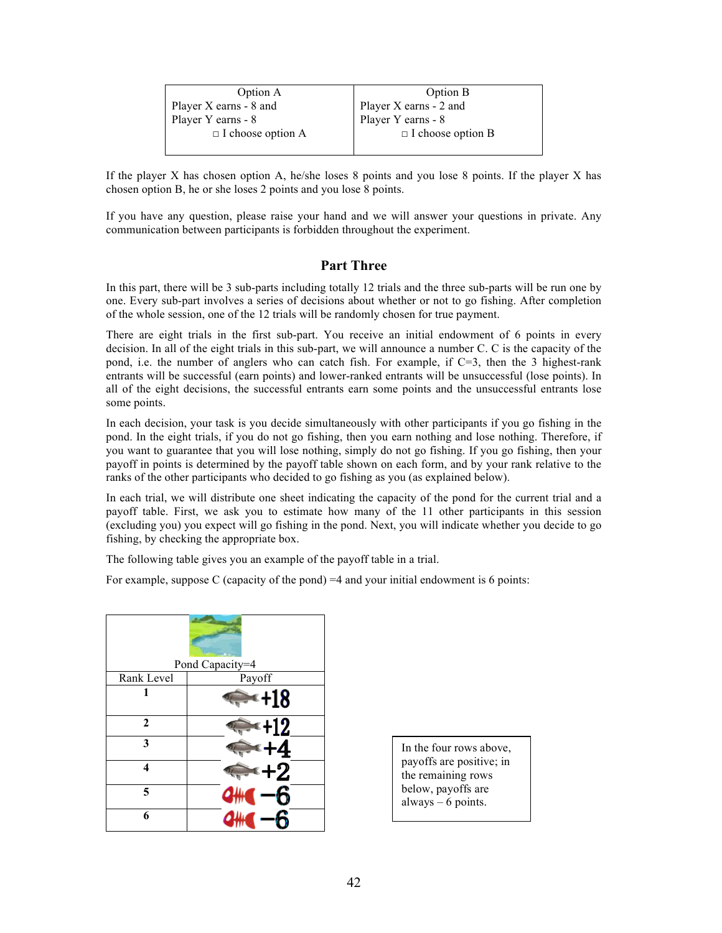| Option A                 | Option B                 |  |  |
|--------------------------|--------------------------|--|--|
| Player X earns - 8 and   | Player X earns - 2 and   |  |  |
| Player Y earns - 8       | Player Y earns - 8       |  |  |
| $\Box$ I choose option A | $\Box$ I choose option B |  |  |
|                          |                          |  |  |

If the player X has chosen option A, he/she loses 8 points and you lose 8 points. If the player X has chosen option B, he or she loses 2 points and you lose 8 points.

If you have any question, please raise your hand and we will answer your questions in private. Any communication between participants is forbidden throughout the experiment.

### **Part Three**

In this part, there will be 3 sub-parts including totally 12 trials and the three sub-parts will be run one by one. Every sub-part involves a series of decisions about whether or not to go fishing. After completion of the whole session, one of the 12 trials will be randomly chosen for true payment.

There are eight trials in the first sub-part. You receive an initial endowment of 6 points in every decision. In all of the eight trials in this sub-part, we will announce a number C. C is the capacity of the pond, i.e. the number of anglers who can catch fish. For example, if C=3, then the 3 highest-rank entrants will be successful (earn points) and lower-ranked entrants will be unsuccessful (lose points). In all of the eight decisions, the successful entrants earn some points and the unsuccessful entrants lose some points.

In each decision, your task is you decide simultaneously with other participants if you go fishing in the pond. In the eight trials, if you do not go fishing, then you earn nothing and lose nothing. Therefore, if you want to guarantee that you will lose nothing, simply do not go fishing. If you go fishing, then your payoff in points is determined by the payoff table shown on each form, and by your rank relative to the ranks of the other participants who decided to go fishing as you (as explained below).

In each trial, we will distribute one sheet indicating the capacity of the pond for the current trial and a payoff table. First, we ask you to estimate how many of the 11 other participants in this session (excluding you) you expect will go fishing in the pond. Next, you will indicate whether you decide to go fishing, by checking the appropriate box.

The following table gives you an example of the payoff table in a trial.

For example, suppose C (capacity of the pond) = 4 and your initial endowment is 6 points:

| Pond Capacity=4 |        |  |  |
|-----------------|--------|--|--|
| Rank Level      | Payoff |  |  |
| 1               | $+18$  |  |  |
| $\mathbf{2}$    | 12     |  |  |
| 3               |        |  |  |
| 4               | 2      |  |  |
| 5               |        |  |  |
| 6               |        |  |  |

In the four rows above, payoffs are positive; in the remaining rows below, payoffs are always  $-6$  points.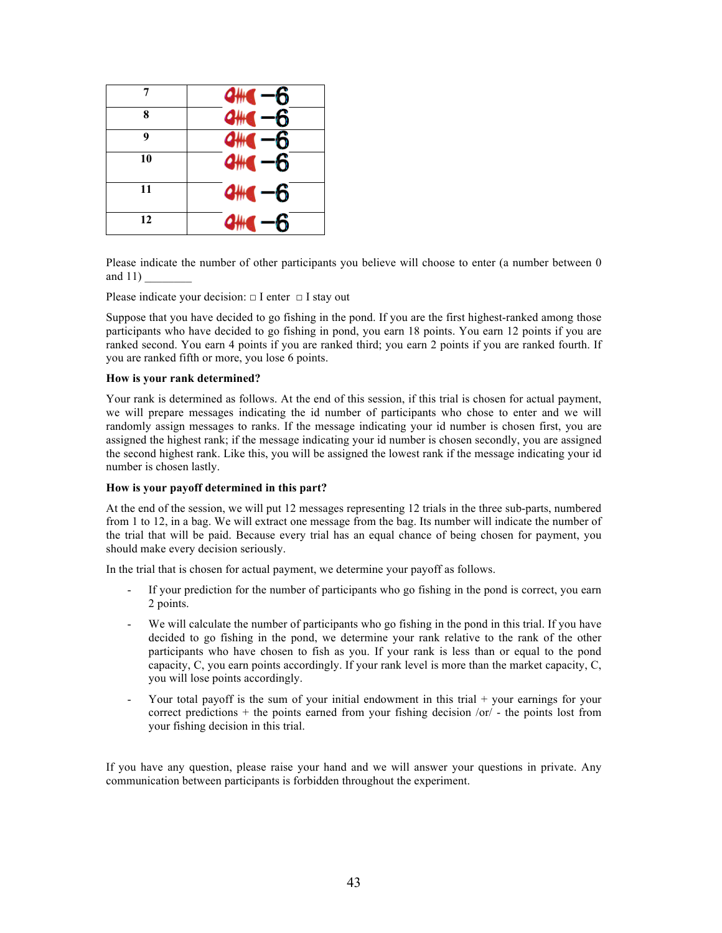|    | <b>2#4</b><br>б |
|----|-----------------|
| 8  |                 |
| 9  | 6               |
| 10 | $44 - 6$        |
| 11 | $44 - 6$        |
| 12 |                 |

Please indicate the number of other participants you believe will choose to enter (a number between 0 and  $11)$ 

Please indicate your decision:  $\Box$  I enter  $\Box$  I stay out

Suppose that you have decided to go fishing in the pond. If you are the first highest-ranked among those participants who have decided to go fishing in pond, you earn 18 points. You earn 12 points if you are ranked second. You earn 4 points if you are ranked third; you earn 2 points if you are ranked fourth. If you are ranked fifth or more, you lose 6 points.

#### **How is your rank determined?**

Your rank is determined as follows. At the end of this session, if this trial is chosen for actual payment, we will prepare messages indicating the id number of participants who chose to enter and we will randomly assign messages to ranks. If the message indicating your id number is chosen first, you are assigned the highest rank; if the message indicating your id number is chosen secondly, you are assigned the second highest rank. Like this, you will be assigned the lowest rank if the message indicating your id number is chosen lastly.

#### **How is your payoff determined in this part?**

At the end of the session, we will put 12 messages representing 12 trials in the three sub-parts, numbered from 1 to 12, in a bag. We will extract one message from the bag. Its number will indicate the number of the trial that will be paid. Because every trial has an equal chance of being chosen for payment, you should make every decision seriously.

In the trial that is chosen for actual payment, we determine your payoff as follows.

- If your prediction for the number of participants who go fishing in the pond is correct, you earn 2 points.
- We will calculate the number of participants who go fishing in the pond in this trial. If you have decided to go fishing in the pond, we determine your rank relative to the rank of the other participants who have chosen to fish as you. If your rank is less than or equal to the pond capacity, C, you earn points accordingly. If your rank level is more than the market capacity, C, you will lose points accordingly.
- Your total payoff is the sum of your initial endowment in this trial  $+$  your earnings for your correct predictions + the points earned from your fishing decision /or/ - the points lost from your fishing decision in this trial.

If you have any question, please raise your hand and we will answer your questions in private. Any communication between participants is forbidden throughout the experiment.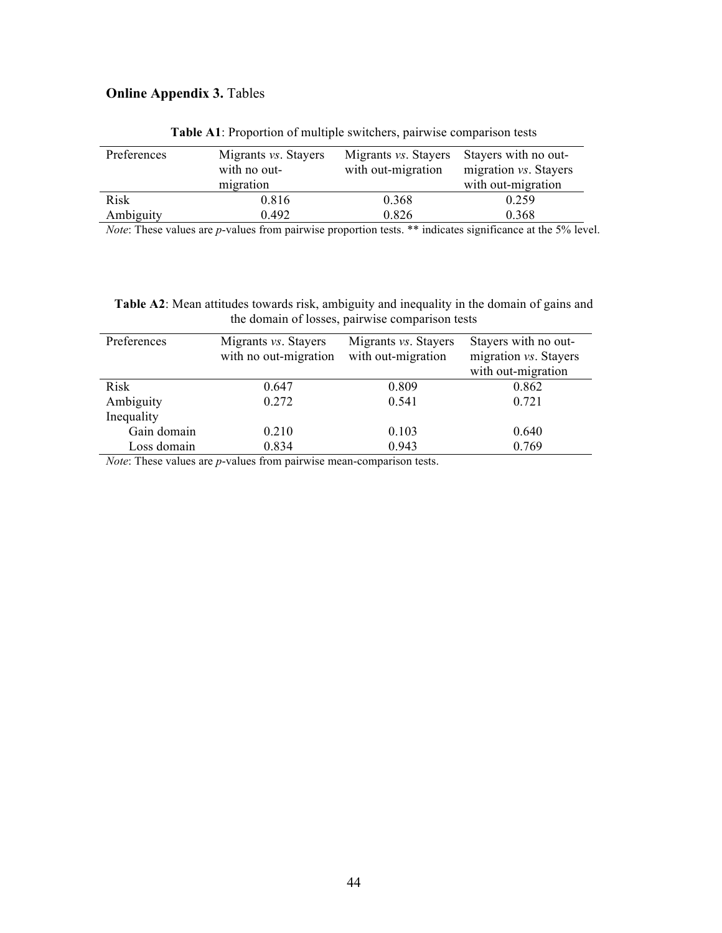### **Online Appendix 3.** Tables

| Preferences | Migrants <i>vs.</i> Stayers<br>with no out-<br>migration | Migrants <i>vs.</i> Stayers<br>with out-migration | Stayers with no out-<br>migration vs. Stayers<br>with out-migration |
|-------------|----------------------------------------------------------|---------------------------------------------------|---------------------------------------------------------------------|
| Risk        | 0.816                                                    | 0.368                                             | 0.259                                                               |
| Ambiguity   | 0.492                                                    | 0.826                                             | 0.368                                                               |

| Table A1: Proportion of multiple switchers, pairwise comparison tests |  |  |
|-----------------------------------------------------------------------|--|--|
|                                                                       |  |  |

*Note*: These values are *p*-values from pairwise proportion tests. \*\* indicates significance at the 5% level.

**Table A2**: Mean attitudes towards risk, ambiguity and inequality in the domain of gains and the domain of losses, pairwise comparison tests

| Preferences | Migrants <i>vs.</i> Stayers<br>with no out-migration | Migrants <i>vs.</i> Stayers<br>with out-migration | Stayers with no out-<br>migration vs. Stayers<br>with out-migration |
|-------------|------------------------------------------------------|---------------------------------------------------|---------------------------------------------------------------------|
| <b>Risk</b> | 0.647                                                | 0.809                                             | 0.862                                                               |
| Ambiguity   | 0.272                                                | 0.541                                             | 0.721                                                               |
| Inequality  |                                                      |                                                   |                                                                     |
| Gain domain | 0.210                                                | 0.103                                             | 0.640                                                               |
| Loss domain | 0.834                                                | 0.943                                             | 0.769                                                               |

*Note*: These values are *p*-values from pairwise mean-comparison tests.